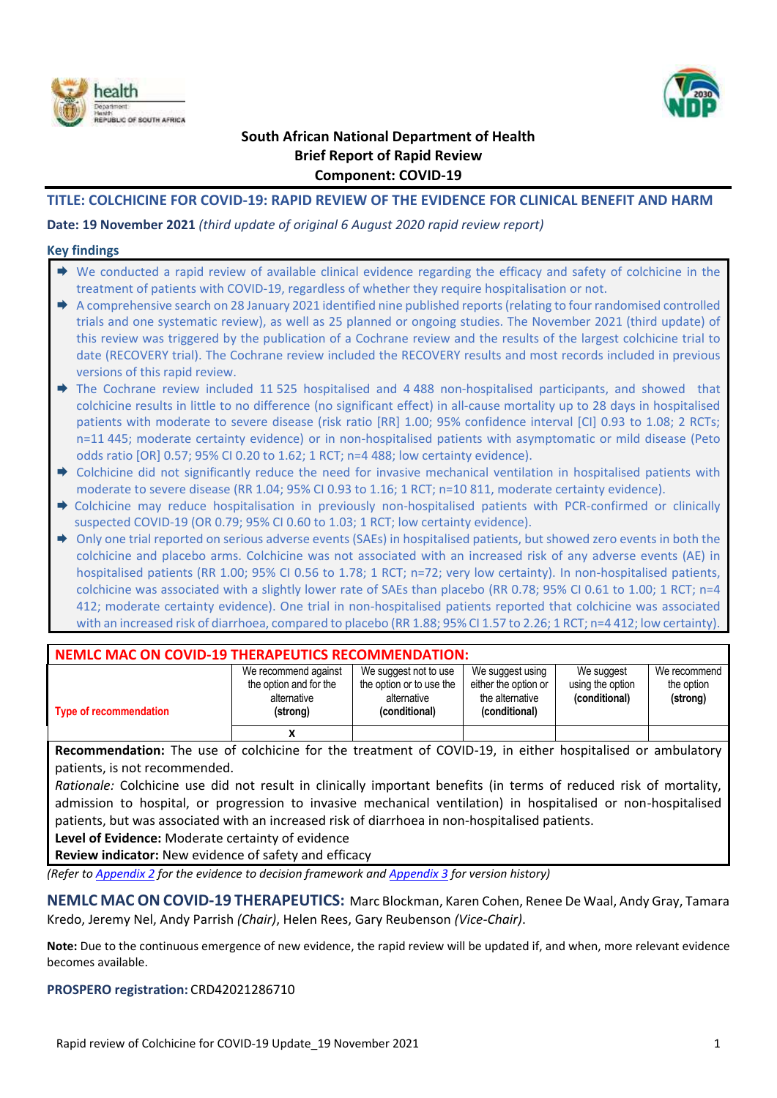



## **South African National Department of Health Brief Report of Rapid Review Component: COVID-19**

#### **TITLE: COLCHICINE FOR COVID-19: RAPID REVIEW OF THE EVIDENCE FOR CLINICAL BENEFIT AND HARM**

**Date: 19 November 2021** *(third update of original 6 August 2020 rapid review report)*

#### **Key findings**

| $\blacktriangleright$ We conducted a rapid review of available clinical evidence regarding the efficacy and safety of colchicine in the<br>treatment of patients with COVID-19, regardless of whether they require hospitalisation or not. |
|--------------------------------------------------------------------------------------------------------------------------------------------------------------------------------------------------------------------------------------------|
| A comprehensive search on 28 January 2021 identified nine published reports (relating to four randomised controlled                                                                                                                        |
| trials and one systematic review), as well as 25 planned or ongoing studies. The November 2021 (third update) of                                                                                                                           |
| this review was triggered by the publication of a Cochrane review and the results of the largest colchicine trial to                                                                                                                       |
| date (RECOVERY trial). The Cochrane review included the RECOVERY results and most records included in previous<br>versions of this rapid review.                                                                                           |
| The Cochrane review included 11525 hospitalised and 4488 non-hospitalised participants, and showed that                                                                                                                                    |
| colchicine results in little to no difference (no significant effect) in all-cause mortality up to 28 days in hospitalised                                                                                                                 |
| patients with moderate to severe disease (risk ratio [RR] 1.00; 95% confidence interval [CI] 0.93 to 1.08; 2 RCTs;                                                                                                                         |
| n=11 445; moderate certainty evidence) or in non-hospitalised patients with asymptomatic or mild disease (Peto                                                                                                                             |
| odds ratio [OR] 0.57; 95% CI 0.20 to 1.62; 1 RCT; n=4 488; low certainty evidence).                                                                                                                                                        |
| Colchicine did not significantly reduce the need for invasive mechanical ventilation in hospitalised patients with                                                                                                                         |
| moderate to severe disease (RR 1.04; 95% CI 0.93 to 1.16; 1 RCT; n=10 811, moderate certainty evidence).                                                                                                                                   |
| Colchicine may reduce hospitalisation in previously non-hospitalised patients with PCR-confirmed or clinically                                                                                                                             |
| suspected COVID-19 (OR 0.79; 95% CI 0.60 to 1.03; 1 RCT; low certainty evidence).                                                                                                                                                          |
|                                                                                                                                                                                                                                            |
| Only one trial reported on serious adverse events (SAEs) in hospitalised patients, but showed zero events in both the                                                                                                                      |
| colchicine and placebo arms. Colchicine was not associated with an increased risk of any adverse events (AE) in                                                                                                                            |
| hospitalised patients (RR 1.00; 95% CI 0.56 to 1.78; 1 RCT; n=72; very low certainty). In non-hospitalised patients,                                                                                                                       |
| colchicine was associated with a slightly lower rate of SAEs than placebo (RR 0.78; 95% CI 0.61 to 1.00; 1 RCT; n=4                                                                                                                        |
| 412; moderate certainty evidence). One trial in non-hospitalised patients reported that colchicine was associated                                                                                                                          |

| <b>NEMLC MAC ON COVID-19 THERAPEUTICS RECOMMENDATION:</b> |                                                                           |                                                                                   |                                                                              |                                                 |                                        |  |  |  |  |  |  |
|-----------------------------------------------------------|---------------------------------------------------------------------------|-----------------------------------------------------------------------------------|------------------------------------------------------------------------------|-------------------------------------------------|----------------------------------------|--|--|--|--|--|--|
| <b>Type of recommendation</b>                             | We recommend against<br>the option and for the<br>alternative<br>(strong) | We suggest not to use<br>the option or to use the<br>alternative<br>(conditional) | We suggest using<br>either the option or<br>the alternative<br>(conditional) | We suggest<br>using the option<br>(conditional) | We recommend<br>the option<br>(strong) |  |  |  |  |  |  |
|                                                           | х                                                                         |                                                                                   |                                                                              |                                                 |                                        |  |  |  |  |  |  |

with an increased risk of diarrhoea, compared to placebo (RR 1.88; 95% CI 1.57 to 2.26; 1 RCT; n=4 412; low certainty).

**Recommendation:** The use of colchicine for the treatment of COVID-19, in either hospitalised or ambulatory patients, is not recommended.

*Rationale:* Colchicine use did not result in clinically important benefits (in terms of reduced risk of mortality, admission to hospital, or progression to invasive mechanical ventilation) in hospitalised or non-hospitalised patients, but was associated with an increased risk of diarrhoea in non-hospitalised patients.

**Level of Evidence:** Moderate certainty of evidence

**Review indicator:** New evidence of safety and efficacy

*(Refer to [Appendix 2](#page-28-0) for the evidence to decision framework an[d Appendix 3](#page-30-0) for version history)*

**NEMLC MAC ON COVID-19 THERAPEUTICS:** Marc Blockman, Karen Cohen, Renee De Waal, Andy Gray, Tamara Kredo, Jeremy Nel, Andy Parrish *(Chair)*, Helen Rees, Gary Reubenson *(Vice-Chair)*.

**Note:** Due to the continuous emergence of new evidence, the rapid review will be updated if, and when, more relevant evidence becomes available.

**PROSPERO registration:** CRD42021286710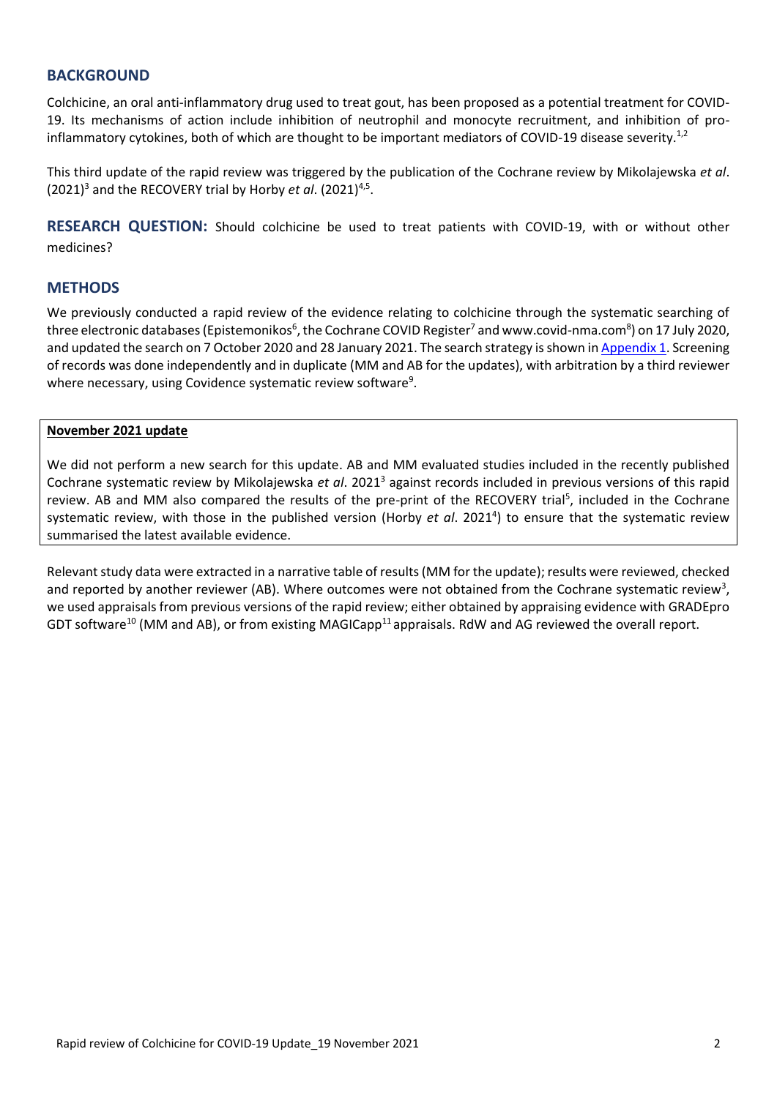### **BACKGROUND**

Colchicine, an oral anti-inflammatory drug used to treat gout, has been proposed as a potential treatment for COVID-19. Its mechanisms of action include inhibition of neutrophil and monocyte recruitment, and inhibition of proinflammatory cytokines, both of which are thought to be important mediators of COVID-19 disease severity.<sup>1,2</sup>

This third update of the rapid review was triggered by the publication of the Cochrane review by Mikolajewska *et al*.  $(2021)^3$  and the RECOVERY trial by Horby *et al.*  $(2021)^{4,5}$ .

**RESEARCH QUESTION:** Should colchicine be used to treat patients with COVID-19, with or without other medicines?

#### **METHODS**

We previously conducted a rapid review of the evidence relating to colchicine through the systematic searching of three electronic databases (Epistemonikos<sup>6</sup>, the Cochrane COVID Register<sup>7</sup> and www.covid-nma.com<sup>8</sup>) on 17 July 2020, and updated the search on 7 October 2020 and 28 January 2021. The search strategy is shown in [Appendix 1.](#page-27-0) Screening of records was done independently and in duplicate (MM and AB for the updates), with arbitration by a third reviewer where necessary, using Covidence systematic review software<sup>9</sup>.

#### **November 2021 update**

We did not perform a new search for this update. AB and MM evaluated studies included in the recently published Cochrane systematic review by Mikolajewska *et al*. 2021<sup>3</sup> against records included in previous versions of this rapid review. AB and MM also compared the results of the pre-print of the RECOVERY trial<sup>5</sup>, included in the Cochrane systematic review, with those in the published version (Horby et al. 2021<sup>4</sup>) to ensure that the systematic review summarised the latest available evidence.

Relevant study data were extracted in a narrative table of results (MM for the update); results were reviewed, checked and reported by another reviewer (AB). Where outcomes were not obtained from the Cochrane systematic review<sup>3</sup>, we used appraisals from previous versions of the rapid review; either obtained by appraising evidence with GRADEpro GDT software<sup>10</sup> (MM and AB), or from existing MAGICapp<sup>11</sup> appraisals. RdW and AG reviewed the overall report.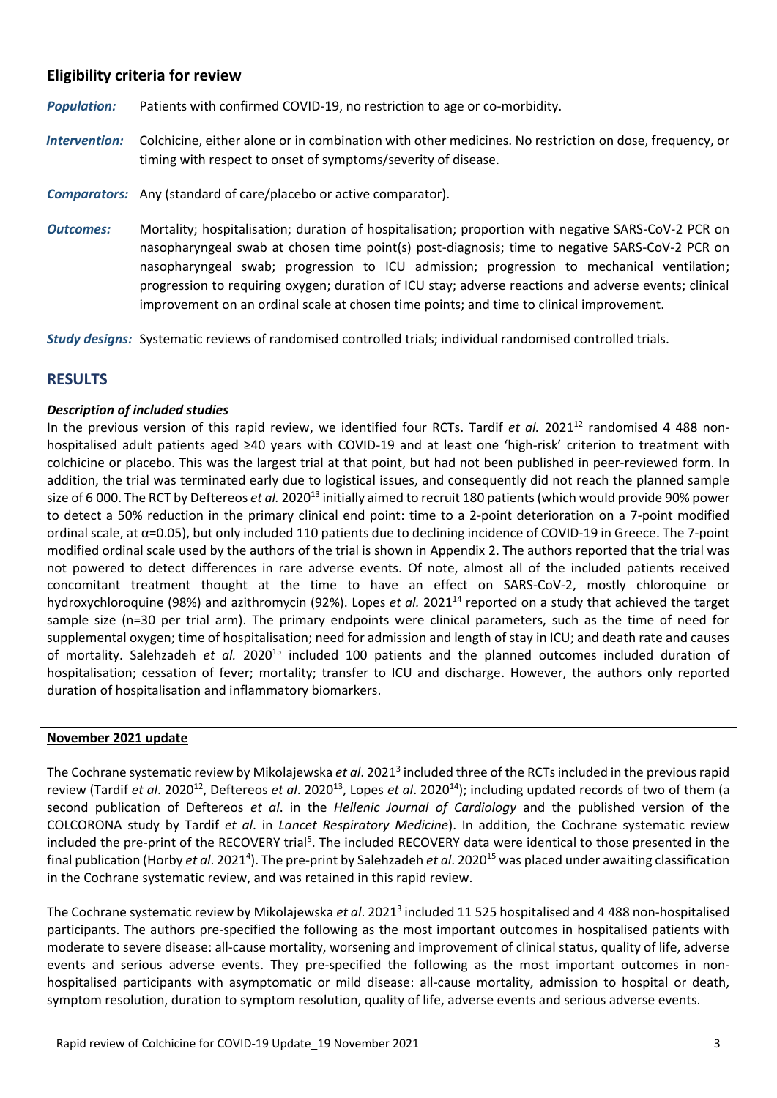## **Eligibility criteria for review**

- *Population:* Patients with confirmed COVID-19, no restriction to age or co-morbidity.
- *Intervention:* Colchicine, either alone or in combination with other medicines. No restriction on dose, frequency, or timing with respect to onset of symptoms/severity of disease.
- *Comparators:* Any (standard of care/placebo or active comparator).
- *Outcomes:* Mortality; hospitalisation; duration of hospitalisation; proportion with negative SARS-CoV-2 PCR on nasopharyngeal swab at chosen time point(s) post-diagnosis; time to negative SARS-CoV-2 PCR on nasopharyngeal swab; progression to ICU admission; progression to mechanical ventilation; progression to requiring oxygen; duration of ICU stay; adverse reactions and adverse events; clinical improvement on an ordinal scale at chosen time points; and time to clinical improvement.

*Study designs:* Systematic reviews of randomised controlled trials; individual randomised controlled trials.

## **RESULTS**

#### *Description of included studies*

In the previous version of this rapid review, we identified four RCTs. Tardif *et al.* 2021<sup>12</sup> randomised 4 488 nonhospitalised adult patients aged ≥40 years with COVID-19 and at least one 'high-risk' criterion to treatment with colchicine or placebo. This was the largest trial at that point, but had not been published in peer-reviewed form. In addition, the trial was terminated early due to logistical issues, and consequently did not reach the planned sample size of 6 000. The RCT by Deftereos *et al.* 2020<sup>13</sup> initially aimed to recruit 180 patients (which would provide 90% power to detect a 50% reduction in the primary clinical end point: time to a 2-point deterioration on a 7-point modified ordinal scale, at α=0.05), but only included 110 patients due to declining incidence of COVID-19 in Greece. The 7-point modified ordinal scale used by the authors of the trial is shown in Appendix 2. The authors reported that the trial was not powered to detect differences in rare adverse events. Of note, almost all of the included patients received concomitant treatment thought at the time to have an effect on SARS-CoV-2, mostly chloroquine or hydroxychloroquine (98%) and azithromycin (92%). Lopes *et al.* 2021<sup>14</sup> reported on a study that achieved the target sample size (n=30 per trial arm). The primary endpoints were clinical parameters, such as the time of need for supplemental oxygen; time of hospitalisation; need for admission and length of stay in ICU; and death rate and causes of mortality. Salehzadeh *et al.* 2020<sup>15</sup> included 100 patients and the planned outcomes included duration of hospitalisation; cessation of fever; mortality; transfer to ICU and discharge. However, the authors only reported duration of hospitalisation and inflammatory biomarkers.

#### **November 2021 update**

The Cochrane systematic review by Mikolajewska *et al*. 2021<sup>3</sup> included three of the RCTs included in the previous rapid review (Tardif *et al*. 2020<sup>12</sup>, Deftereos *et al*. 2020<sup>13</sup>, Lopes *et al*. 2020<sup>14</sup>); including updated records of two of them (a second publication of Deftereos *et al*. in the *Hellenic Journal of Cardiology* and the published version of the COLCORONA study by Tardif *et al*. in *Lancet Respiratory Medicine*). In addition, the Cochrane systematic review included the pre-print of the RECOVERY trial<sup>5</sup>. The included RECOVERY data were identical to those presented in the final publication (Horby *et al.* 2021<sup>4</sup>). The pre-print by Salehzadeh *et al.* 2020<sup>15</sup> was placed under awaiting classification in the Cochrane systematic review, and was retained in this rapid review.

The Cochrane systematic review by Mikolajewska *et al.* 2021<sup>3</sup> included 11 525 hospitalised and 4 488 non-hospitalised participants. The authors pre-specified the following as the most important outcomes in hospitalised patients with moderate to severe disease: all-cause mortality, worsening and improvement of clinical status, quality of life, adverse events and serious adverse events. They pre-specified the following as the most important outcomes in nonhospitalised participants with asymptomatic or mild disease: all-cause mortality, admission to hospital or death, symptom resolution, duration to symptom resolution, quality of life, adverse events and serious adverse events.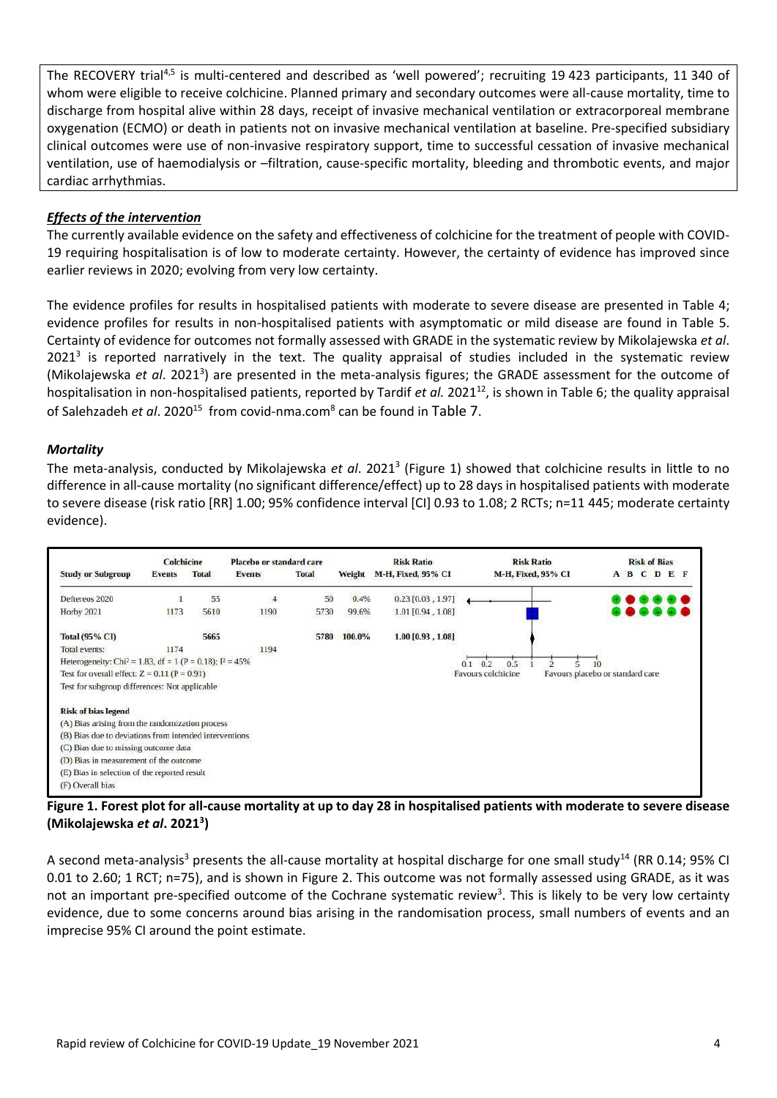The RECOVERY trial<sup>4,5</sup> is multi-centered and described as 'well powered'; recruiting 19 423 participants, 11 340 of whom were eligible to receive colchicine. Planned primary and secondary outcomes were all-cause mortality, time to discharge from hospital alive within 28 days, receipt of invasive mechanical ventilation or extracorporeal membrane oxygenation (ECMO) or death in patients not on invasive mechanical ventilation at baseline. Pre-specified subsidiary clinical outcomes were use of non-invasive respiratory support, time to successful cessation of invasive mechanical ventilation, use of haemodialysis or –filtration, cause-specific mortality, bleeding and thrombotic events, and major cardiac arrhythmias.

#### *Effects of the intervention*

The currently available evidence on the safety and effectiveness of colchicine for the treatment of people with COVID-19 requiring hospitalisation is of low to moderate certainty. However, the certainty of evidence has improved since earlier reviews in 2020; evolving from very low certainty.

The evidence profiles for results in hospitalised patients with moderate to severe disease are presented in [Table 4;](#page-22-0) evidence profiles for results in non-hospitalised patients with asymptomatic or mild disease are found in [Table 5.](#page-24-0) Certainty of evidence for outcomes not formally assessed with GRADE in the systematic review by Mikolajewska *et al*.  $2021<sup>3</sup>$  is reported narratively in the text. The quality appraisal of studies included in the systematic review (Mikolajewska et al. 2021<sup>3</sup>) are presented in the meta-analysis figures; the GRADE assessment for the outcome of hospitalisation in non-hospitalised patients, reported by Tardif *et al.* 2021<sup>12</sup>, is shown in [Table 6;](#page-25-0) the quality appraisal of Salehzadeh *et al*. 2020<sup>15</sup> from covid-nma.com<sup>8</sup> can be found in [Table 7](#page-26-0).

#### *Mortality*

The meta-analysis, conducted by Mikolajewska *et al*. 2021<sup>3</sup> [\(Figure 1\)](#page-3-0) showed that colchicine results in little to no difference in all-cause mortality (no significant difference/effect) up to 28 days in hospitalised patients with moderate to severe disease (risk ratio [RR] 1.00; 95% confidence interval [CI] 0.93 to 1.08; 2 RCTs; n=11 445; moderate certainty evidence).



<span id="page-3-0"></span>**Figure 1. Forest plot for all-cause mortality at up to day 28 in hospitalised patients with moderate to severe disease (Mikolajewska** *et al***. 2021<sup>3</sup> )**

A second meta-analysis<sup>3</sup> presents the all-cause mortality at hospital discharge for one small study<sup>14</sup> (RR 0.14; 95% CI 0.01 to 2.60; 1 RCT; n=75), and is shown in [Figure 2.](#page-4-0) This outcome was not formally assessed using GRADE, as it was not an important pre-specified outcome of the Cochrane systematic review<sup>3</sup>. This is likely to be very low certainty evidence, due to some concerns around bias arising in the randomisation process, small numbers of events and an imprecise 95% CI around the point estimate.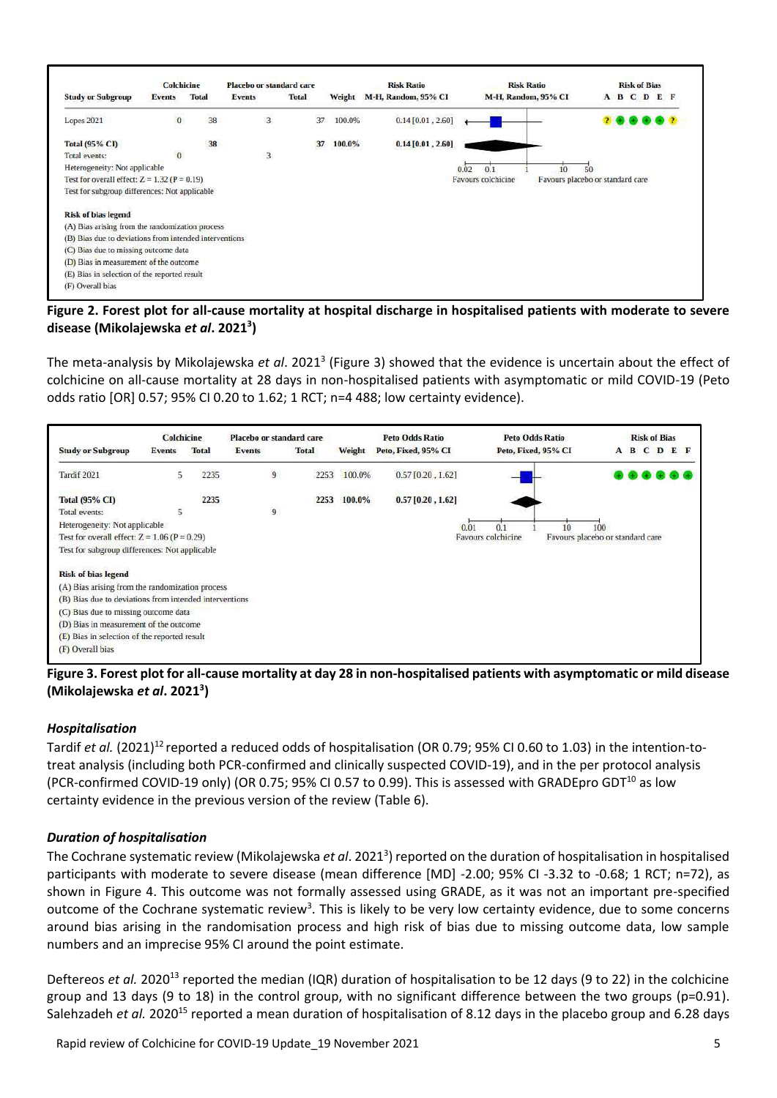|                                                        | <b>Colchicine</b> |              | Placebo or standard care |       |        | <b>Risk Ratio</b>   | <b>Risk Ratio</b>   | <b>Risk of Bias</b>              |
|--------------------------------------------------------|-------------------|--------------|--------------------------|-------|--------|---------------------|---------------------|----------------------------------|
| <b>Study or Subgroup</b>                               | Events            | <b>Total</b> | <b>Events</b>            | Total | Weight | M-H, Random, 95% CI | M-H, Random, 95% CI | A B C D<br>E F                   |
| <b>Lopes 2021</b>                                      | $\bf{0}$          | 38           | $\overline{3}$           | 37    | 100.0% | $0.14$ [0.01, 2.60] |                     |                                  |
| <b>Total (95% CI)</b>                                  |                   | 38           |                          | 37    | 100.0% | $0.14$ [0.01, 2.60] |                     |                                  |
| <b>Total events:</b>                                   | $\bf{0}$          |              | $\overline{\mathbf{3}}$  |       |        |                     |                     |                                  |
| Heterogeneity: Not applicable                          |                   |              |                          |       |        | 0.02                | 0.1<br>50<br>IO.    |                                  |
| Test for overall effect: $Z = 1.32$ ( $P = 0.19$ )     |                   |              |                          |       |        |                     | Favours colchicine  | Favours placebo or standard care |
| Test for subgroup differences: Not applicable          |                   |              |                          |       |        |                     |                     |                                  |
| <b>Risk of bias legend</b>                             |                   |              |                          |       |        |                     |                     |                                  |
| (A) Bias arising from the randomization process        |                   |              |                          |       |        |                     |                     |                                  |
| (B) Bias due to deviations from intended interventions |                   |              |                          |       |        |                     |                     |                                  |
| (C) Bias due to missing outcome data                   |                   |              |                          |       |        |                     |                     |                                  |
| (D) Bias in measurement of the outcome                 |                   |              |                          |       |        |                     |                     |                                  |
| (E) Bias in selection of the reported result           |                   |              |                          |       |        |                     |                     |                                  |
|                                                        |                   |              |                          |       |        |                     |                     |                                  |

<span id="page-4-0"></span>**Figure 2. Forest plot for all-cause mortality at hospital discharge in hospitalised patients with moderate to severe disease (Mikolajewska** *et al***. 2021<sup>3</sup> )**

The meta-analysis by Mikolajewska et al. 2021<sup>3</sup> [\(Figure 3\)](#page-4-1) showed that the evidence is uncertain about the effect of colchicine on all-cause mortality at 28 days in non-hospitalised patients with asymptomatic or mild COVID-19 (Peto odds ratio [OR] 0.57; 95% CI 0.20 to 1.62; 1 RCT; n=4 488; low certainty evidence).



<span id="page-4-1"></span>**Figure 3. Forest plot for all-cause mortality at day 28 in non-hospitalised patients with asymptomatic or mild disease (Mikolajewska** *et al***. 2021<sup>3</sup> )**

#### *Hospitalisation*

Tardif *et al.* (2021)<sup>12</sup> reported a reduced odds of hospitalisation (OR 0.79; 95% CI 0.60 to 1.03) in the intention-totreat analysis (including both PCR-confirmed and clinically suspected COVID-19), and in the per protocol analysis (PCR-confirmed COVID-19 only) (OR 0.75; 95% CI 0.57 to 0.99). This is assessed with GRADEpro GDT<sup>10</sup> as low certainty evidence in the previous version of the review [\(Table 6\)](#page-25-0).

#### *Duration of hospitalisation*

The Cochrane systematic review (Mikolajewska et al. 2021<sup>3</sup>) reported on the duration of hospitalisation in hospitalised participants with moderate to severe disease (mean difference [MD] -2.00; 95% CI -3.32 to -0.68; 1 RCT; n=72), as shown in [Figure 4.](#page-5-0) This outcome was not formally assessed using GRADE, as it was not an important pre-specified outcome of the Cochrane systematic review<sup>3</sup>. This is likely to be very low certainty evidence, due to some concerns around bias arising in the randomisation process and high risk of bias due to missing outcome data, low sample numbers and an imprecise 95% CI around the point estimate.

Deftereos *et al.* 2020<sup>13</sup> reported the median (IQR) duration of hospitalisation to be 12 days (9 to 22) in the colchicine group and 13 days (9 to 18) in the control group, with no significant difference between the two groups (p=0.91). Salehzadeh et al. 2020<sup>15</sup> reported a mean duration of hospitalisation of 8.12 days in the placebo group and 6.28 days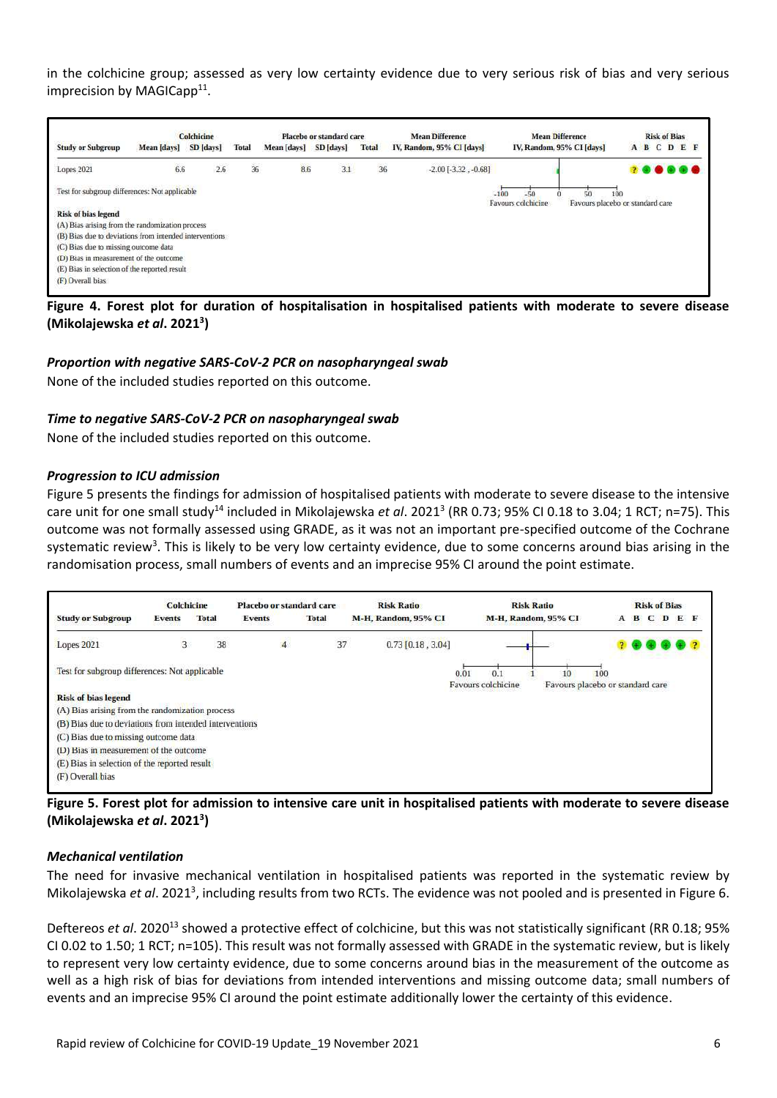in the colchicine group; assessed as very low certainty evidence due to very serious risk of bias and very serious imprecision by MAGICapp<sup>11</sup>.

|                                                        |             | Colchicine |              |             | Placebo or standard care |              | <b>Mean Difference</b>    | <b>Mean Difference</b>                             | <b>Risk of Bias</b>              |
|--------------------------------------------------------|-------------|------------|--------------|-------------|--------------------------|--------------|---------------------------|----------------------------------------------------|----------------------------------|
| <b>Study or Subgroup</b>                               | Mean [days] | SD [days]  | <b>Total</b> | Mean [days] | SD [days]                | <b>Total</b> | IV, Random, 95% CI [days] | IV, Random, 95% CI [days]                          | A B C D E F                      |
| Lopes 2021                                             | 6.6         | 2.6        | 36           | 8.6         | 3.1                      | 36           | $-2.00$ $[-3.32, -0.68]$  |                                                    | .                                |
| Test for subgroup differences: Not applicable          |             |            |              |             |                          |              |                           | $-50$<br>50<br>$-100$<br>100<br>Favours colchicine | Favours placebo or standard care |
| <b>Risk of bias legend</b>                             |             |            |              |             |                          |              |                           |                                                    |                                  |
| (A) Bias arising from the randomization process        |             |            |              |             |                          |              |                           |                                                    |                                  |
| (B) Bias due to deviations from intended interventions |             |            |              |             |                          |              |                           |                                                    |                                  |
|                                                        |             |            |              |             |                          |              |                           |                                                    |                                  |
| (C) Bias due to missing outcome data                   |             |            |              |             |                          |              |                           |                                                    |                                  |
| (D) Bias in measurement of the outcome                 |             |            |              |             |                          |              |                           |                                                    |                                  |
| (E) Bias in selection of the reported result           |             |            |              |             |                          |              |                           |                                                    |                                  |

<span id="page-5-0"></span>**Figure 4. Forest plot for duration of hospitalisation in hospitalised patients with moderate to severe disease (Mikolajewska** *et al***. 2021<sup>3</sup> )**

#### *Proportion with negative SARS-CoV-2 PCR on nasopharyngeal swab*

None of the included studies reported on this outcome.

#### *Time to negative SARS-CoV-2 PCR on nasopharyngeal swab*

None of the included studies reported on this outcome.

#### *Progression to ICU admission*

[Figure 5](#page-5-1) presents the findings for admission of hospitalised patients with moderate to severe disease to the intensive care unit for one small study<sup>14</sup> included in Mikolajewska *et al*. 2021<sup>3</sup> (RR 0.73; 95% CI 0.18 to 3.04; 1 RCT; n=75). This outcome was not formally assessed using GRADE, as it was not an important pre-specified outcome of the Cochrane systematic review<sup>3</sup>. This is likely to be very low certainty evidence, due to some concerns around bias arising in the randomisation process, small numbers of events and an imprecise 95% CI around the point estimate.



<span id="page-5-1"></span>**Figure 5. Forest plot for admission to intensive care unit in hospitalised patients with moderate to severe disease (Mikolajewska** *et al***. 2021<sup>3</sup> )**

#### *Mechanical ventilation*

The need for invasive mechanical ventilation in hospitalised patients was reported in the systematic review by Mikolajewska et al. 2021<sup>3</sup>, including results from two RCTs. The evidence was not pooled and is presented i[n Figure 6.](#page-6-0)

Deftereos *et al.* 2020<sup>13</sup> showed a protective effect of colchicine, but this was not statistically significant (RR 0.18; 95% CI 0.02 to 1.50; 1 RCT; n=105). This result was not formally assessed with GRADE in the systematic review, but is likely to represent very low certainty evidence, due to some concerns around bias in the measurement of the outcome as well as a high risk of bias for deviations from intended interventions and missing outcome data; small numbers of events and an imprecise 95% CI around the point estimate additionally lower the certainty of this evidence.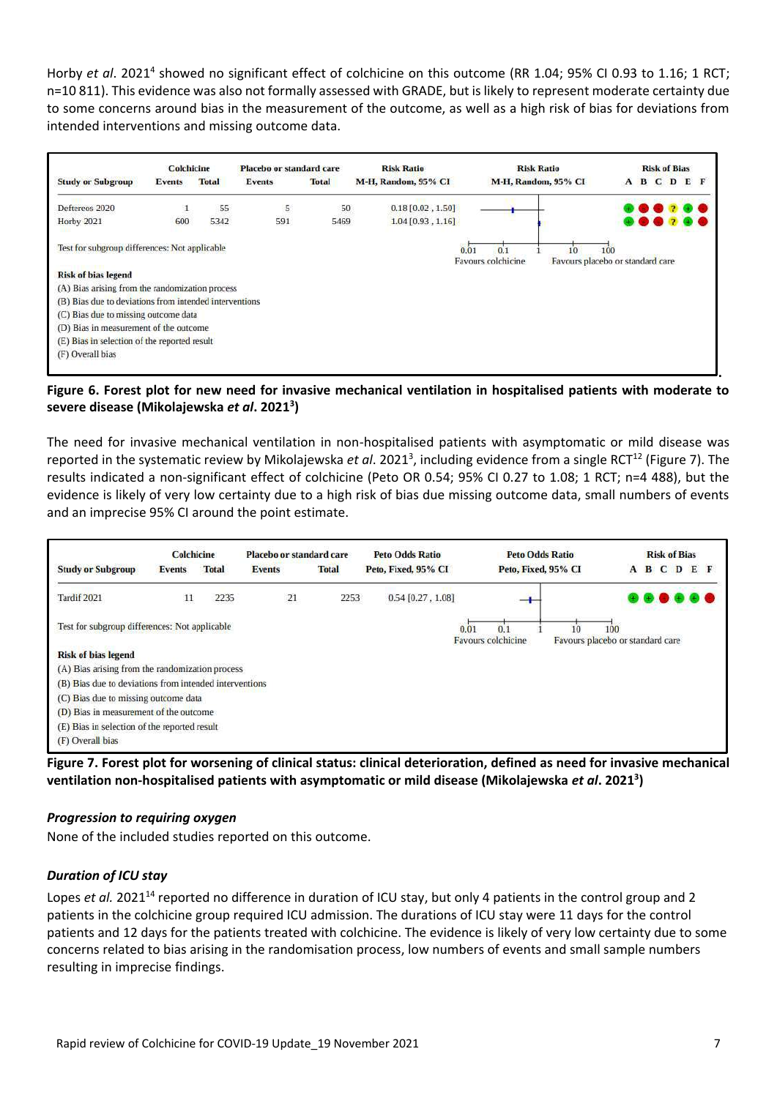Horby *et al.* 2021<sup>4</sup> showed no significant effect of colchicine on this outcome (RR 1.04; 95% CI 0.93 to 1.16; 1 RCT; n=10 811). This evidence was also not formally assessed with GRADE, but is likely to represent moderate certainty due to some concerns around bias in the measurement of the outcome, as well as a high risk of bias for deviations from intended interventions and missing outcome data.



#### <span id="page-6-0"></span>**Figure 6. Forest plot for new need for invasive mechanical ventilation in hospitalised patients with moderate to severe disease (Mikolajewska** *et al***. 2021<sup>3</sup> )**

The need for invasive mechanical ventilation in non-hospitalised patients with asymptomatic or mild disease was reported in the systematic review by Mikolajewska *et al*. 2021<sup>3</sup>, including evidence from a single RCT<sup>12</sup> [\(Figure 7\)](#page-6-1). The results indicated a non-significant effect of colchicine (Peto OR 0.54; 95% CI 0.27 to 1.08; 1 RCT; n=4 488), but the evidence is likely of very low certainty due to a high risk of bias due missing outcome data, small numbers of events and an imprecise 95% CI around the point estimate.

|                                                        | <b>Colchicine</b> |              | Placebo or standard care |              | <b>Peto Odds Ratio</b> | <b>Peto Odds Ratio</b>          | <b>Risk of Bias</b>                     |
|--------------------------------------------------------|-------------------|--------------|--------------------------|--------------|------------------------|---------------------------------|-----------------------------------------|
| <b>Study or Subgroup</b>                               | Events            | <b>Total</b> | <b>Events</b>            | <b>Total</b> | Peto, Fixed, 95% CI    | Peto, Fixed, 95% CI             | B C D<br>E F<br>A                       |
| Tardif 2021                                            | 11                | 2235         | 21                       | 2253         | $0.54$ [0.27, 1.08]    |                                 |                                         |
| Test for subgroup differences: Not applicable          |                   |              |                          |              | 0.01                   | 0.1<br>10<br>Favours colchicine | 100<br>Favours placebo or standard care |
| <b>Risk of bias legend</b>                             |                   |              |                          |              |                        |                                 |                                         |
| (A) Bias arising from the randomization process        |                   |              |                          |              |                        |                                 |                                         |
| (B) Bias due to deviations from intended interventions |                   |              |                          |              |                        |                                 |                                         |
| (C) Bias due to missing outcome data                   |                   |              |                          |              |                        |                                 |                                         |
| (D) Bias in measurement of the outcome                 |                   |              |                          |              |                        |                                 |                                         |
| (E) Bias in selection of the reported result           |                   |              |                          |              |                        |                                 |                                         |
| (F) Overall bias                                       |                   |              |                          |              |                        |                                 |                                         |

<span id="page-6-1"></span>**Figure 7. Forest plot for worsening of clinical status: clinical deterioration, defined as need for invasive mechanical ventilation non-hospitalised patients with asymptomatic or mild disease (Mikolajewska** *et al***. 2021<sup>3</sup> )**

#### *Progression to requiring oxygen*

None of the included studies reported on this outcome.

#### *Duration of ICU stay*

Lopes et al. 2021<sup>14</sup> reported no difference in duration of ICU stay, but only 4 patients in the control group and 2 patients in the colchicine group required ICU admission. The durations of ICU stay were 11 days for the control patients and 12 days for the patients treated with colchicine. The evidence is likely of very low certainty due to some concerns related to bias arising in the randomisation process, low numbers of events and small sample numbers resulting in imprecise findings.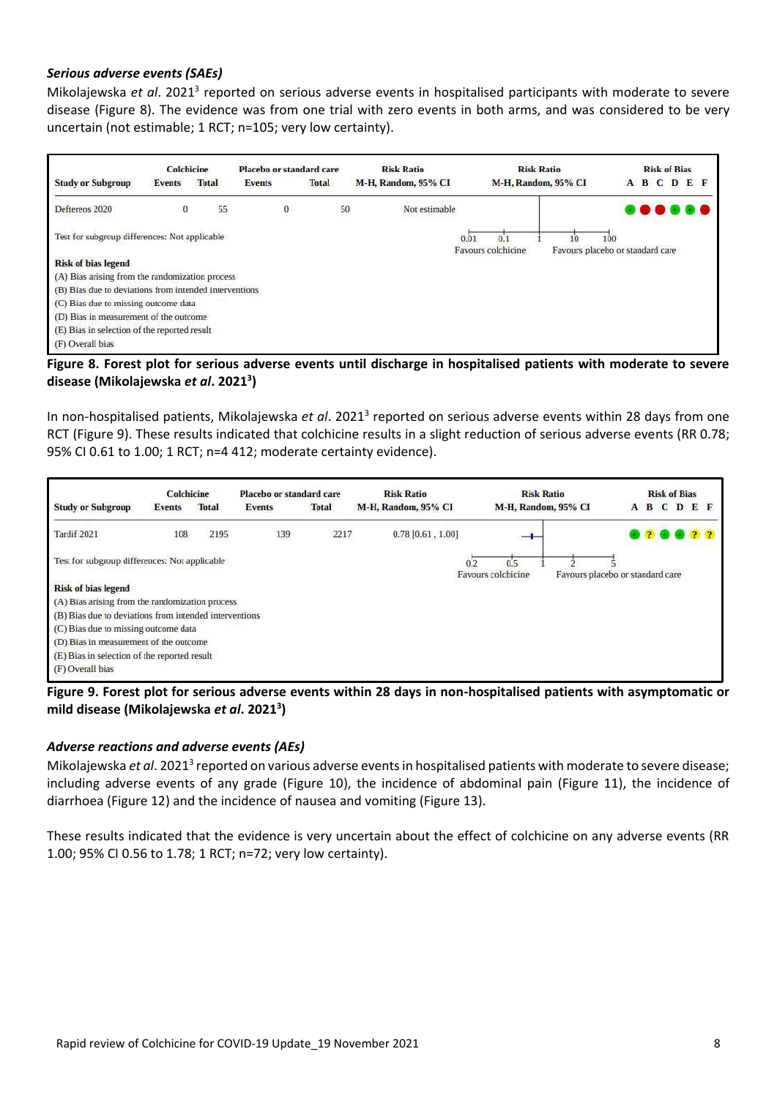#### *Serious adverse events (SAEs)*

Mikolajewska et al. 2021<sup>3</sup> reported on serious adverse events in hospitalised participants with moderate to severe disease [\(Figure 8\)](#page-7-0). The evidence was from one trial with zero events in both arms, and was considered to be very uncertain (not estimable; 1 RCT; n=105; very low certainty).

|                                                        | Colchicine    |              | Placebo or standard care |              | <b>Risk Ratio</b>   | <b>Risk Ratio</b>                                                                  |   | <b>Risk of Bias</b> |              |
|--------------------------------------------------------|---------------|--------------|--------------------------|--------------|---------------------|------------------------------------------------------------------------------------|---|---------------------|--------------|
| <b>Study or Subgroup</b>                               | <b>Events</b> | <b>Total</b> | <b>Events</b>            | <b>Total</b> | M-H, Random, 95% CI | M-H, Random, 95% CI                                                                | A |                     | <b>BCDEF</b> |
| Deftereos 2020                                         | $^{\circ}$    | 55           | $\bf{0}$                 | 50           | Not estimable       |                                                                                    |   |                     |              |
| Test for subgroup differences: Not applicable          |               |              |                          |              |                     | 0.01<br>0.1<br>100<br>10<br>Favours placebo or standard care<br>Favours colchicine |   |                     |              |
| <b>Risk of bias legend</b>                             |               |              |                          |              |                     |                                                                                    |   |                     |              |
| (A) Bias arising from the randomization process        |               |              |                          |              |                     |                                                                                    |   |                     |              |
| (B) Bias due to deviations from intended interventions |               |              |                          |              |                     |                                                                                    |   |                     |              |
| (C) Bias due to missing outcome data                   |               |              |                          |              |                     |                                                                                    |   |                     |              |
| (D) Bias in measurement of the outcome                 |               |              |                          |              |                     |                                                                                    |   |                     |              |
| (E) Bias in selection of the reported result           |               |              |                          |              |                     |                                                                                    |   |                     |              |
| (F) Overall bias                                       |               |              |                          |              |                     |                                                                                    |   |                     |              |

#### <span id="page-7-0"></span>**Figure 8. Forest plot for serious adverse events until discharge in hospitalised patients with moderate to severe disease (Mikolajewska** *et al***. 2021<sup>3</sup> )**

In non-hospitalised patients, Mikolajewska et al. 2021<sup>3</sup> reported on serious adverse events within 28 days from one RCT [\(Figure 9\)](#page-7-1). These results indicated that colchicine results in a slight reduction of serious adverse events (RR 0.78; 95% CI 0.61 to 1.00; 1 RCT; n=4 412; moderate certainty evidence).



<span id="page-7-1"></span>**Figure 9. Forest plot for serious adverse events within 28 days in non-hospitalised patients with asymptomatic or mild disease (Mikolajewska** *et al***. 2021<sup>3</sup> )**

#### *Adverse reactions and adverse events (AEs)*

Mikolajewska et al. 2021<sup>3</sup> reported on various adverse events in hospitalised patients with moderate to severe disease; including adverse events of any grade [\(Figure 10\)](#page-8-0), the incidence of abdominal pain [\(Figure 11\)](#page-8-1), the incidence of diarrhoea [\(Figure 12\)](#page-9-0) and the incidence of nausea and vomiting [\(Figure 13\)](#page-9-1).

These results indicated that the evidence is very uncertain about the effect of colchicine on any adverse events (RR 1.00; 95% CI 0.56 to 1.78; 1 RCT; n=72; very low certainty).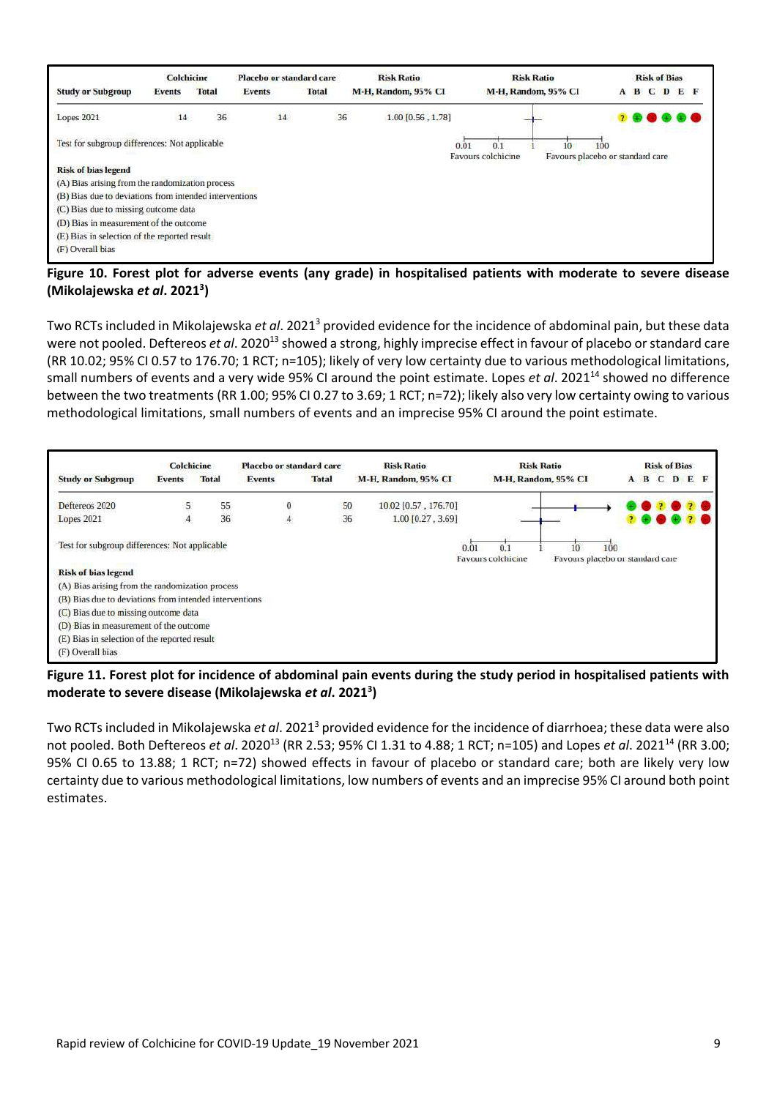|                                                        | Colchicine                    |    | Placebo or standard care      |    | <b>Risk Ratio</b>   | <b>Risk Ratio</b>                      | <b>Risk of Bias</b>                     |         |
|--------------------------------------------------------|-------------------------------|----|-------------------------------|----|---------------------|----------------------------------------|-----------------------------------------|---------|
| <b>Study or Subgroup</b>                               | <b>Total</b><br><b>Events</b> |    | <b>Total</b><br><b>Events</b> |    | M-H, Random, 95% CI | M-H, Random, 95% CI                    | B C<br>$\mathbf{D}$<br>A                | $E$ $E$ |
| Lopes 2021                                             | 14                            | 36 | 14                            | 36 | 1.00 [0.56, 1.78]   |                                        |                                         |         |
| Test for subgroup differences: Not applicable          |                               |    |                               |    | 0.01                | $10^{-1}$<br>0.1<br>Favours colchicine | 100<br>Favours placebo or standard care |         |
| <b>Risk of bias legend</b>                             |                               |    |                               |    |                     |                                        |                                         |         |
| (A) Bias arising from the randomization process        |                               |    |                               |    |                     |                                        |                                         |         |
| (B) Bias due to deviations from intended interventions |                               |    |                               |    |                     |                                        |                                         |         |
| (C) Bias due to missing outcome data                   |                               |    |                               |    |                     |                                        |                                         |         |
| (D) Bias in measurement of the outcome                 |                               |    |                               |    |                     |                                        |                                         |         |
| (E) Bias in selection of the reported result           |                               |    |                               |    |                     |                                        |                                         |         |
| (F) Overall bias                                       |                               |    |                               |    |                     |                                        |                                         |         |

<span id="page-8-0"></span>**Figure 10. Forest plot for adverse events (any grade) in hospitalised patients with moderate to severe disease (Mikolajewska** *et al***. 2021<sup>3</sup> )**

Two RCTs included in Mikolajewska *et al*. 2021<sup>3</sup> provided evidence for the incidence of abdominal pain, but these data were not pooled. Deftereos *et al.* 2020<sup>13</sup> showed a strong, highly imprecise effect in favour of placebo or standard care (RR 10.02; 95% CI 0.57 to 176.70; 1 RCT; n=105); likely of very low certainty due to various methodological limitations, small numbers of events and a very wide 95% CI around the point estimate. Lopes *et al*. 2021<sup>14</sup> showed no difference between the two treatments (RR 1.00; 95% CI 0.27 to 3.69; 1 RCT; n=72); likely also very low certainty owing to various methodological limitations, small numbers of events and an imprecise 95% CI around the point estimate.

|                                                        | <b>Colchicine</b> |              | Placebo or standard care |              | <b>Risk Ratio</b>    | <b>Risk Ratio</b>                                                          |     | <b>Risk of Bias</b> |             |
|--------------------------------------------------------|-------------------|--------------|--------------------------|--------------|----------------------|----------------------------------------------------------------------------|-----|---------------------|-------------|
| <b>Study or Subgroup</b>                               | <b>Events</b>     | <b>Total</b> | <b>Events</b>            | <b>Total</b> | M-H, Random, 95% CI  | M-H, Random, 95% CI                                                        |     |                     | A B C D E F |
| Deftereos 2020                                         | 5                 |              | $\theta$                 | 50           | 10.02 [0.57, 176.70] |                                                                            |     |                     |             |
| Lopes 2021                                             | $\overline{A}$    | 55<br>36     | 4                        | 36           | $1.00$ [0.27, 3.69]  |                                                                            |     |                     |             |
| Test for subgroup differences: Not applicable          |                   |              |                          |              | 0.0                  | 0.1<br>10<br><b>Favours colchicine</b><br>Favours placebo or standard care | 100 |                     |             |
| <b>Risk of bias legend</b>                             |                   |              |                          |              |                      |                                                                            |     |                     |             |
| (A) Bias arising from the randomization process        |                   |              |                          |              |                      |                                                                            |     |                     |             |
| (B) Bias due to deviations from intended interventions |                   |              |                          |              |                      |                                                                            |     |                     |             |
| (C) Bias due to missing outcome data                   |                   |              |                          |              |                      |                                                                            |     |                     |             |
| (D) Bias in measurement of the outcome                 |                   |              |                          |              |                      |                                                                            |     |                     |             |
| (E) Bias in selection of the reported result           |                   |              |                          |              |                      |                                                                            |     |                     |             |
| (F) Overall bias                                       |                   |              |                          |              |                      |                                                                            |     |                     |             |

<span id="page-8-1"></span>**Figure 11. Forest plot for incidence of abdominal pain events during the study period in hospitalised patients with moderate to severe disease (Mikolajewska** *et al***. 2021<sup>3</sup> )**

Two RCTs included in Mikolajewska *et al*. 2021<sup>3</sup> provided evidence for the incidence of diarrhoea; these data were also not pooled. Both Deftereos *et al*. 2020<sup>13</sup> (RR 2.53; 95% CI 1.31 to 4.88; 1 RCT; n=105) and Lopes *et al*. 2021<sup>14</sup> (RR 3.00; 95% CI 0.65 to 13.88; 1 RCT; n=72) showed effects in favour of placebo or standard care; both are likely very low certainty due to various methodological limitations, low numbers of events and an imprecise 95% CI around both point estimates.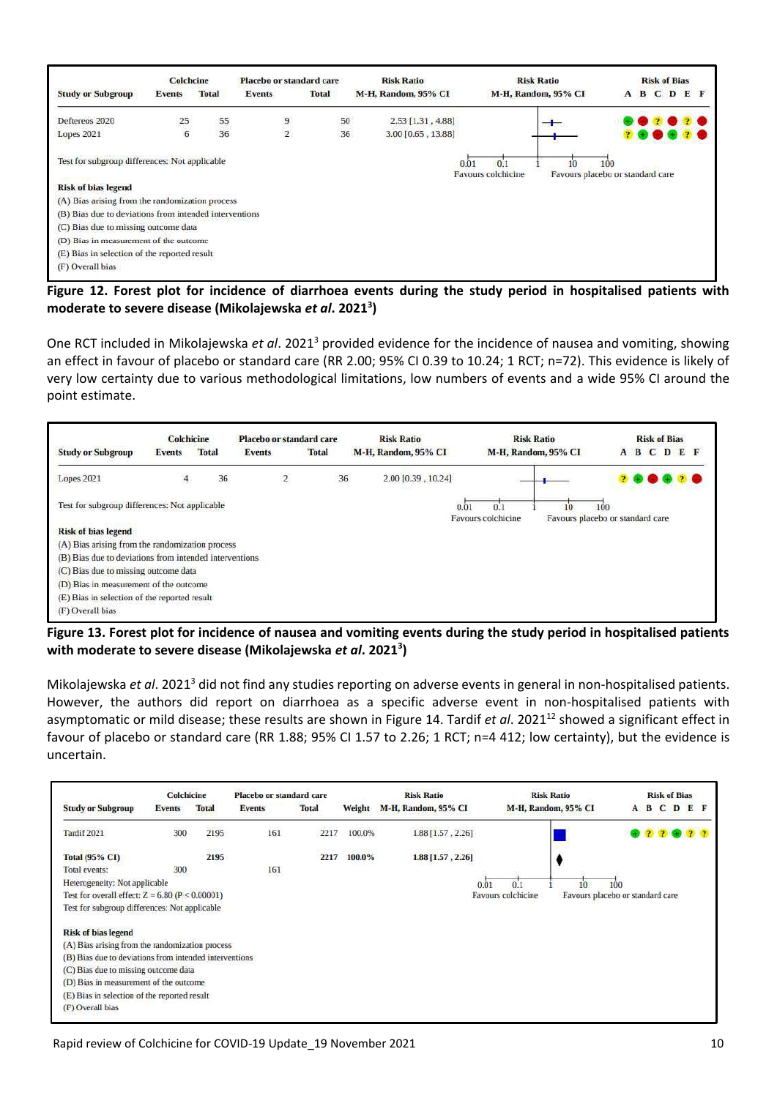|                                                        | Colchcine      |              | Placebo or standard care |              | <b>Risk Ratio</b>   |      | <b>Risk Ratio</b>         |                                        |     |   | <b>Risk of Bias</b> |         |
|--------------------------------------------------------|----------------|--------------|--------------------------|--------------|---------------------|------|---------------------------|----------------------------------------|-----|---|---------------------|---------|
| <b>Study or Subgroup</b>                               | <b>Events</b>  | <b>Total</b> | <b>Events</b>            | <b>Total</b> | M-H, Random, 95% CI |      | M-H, Random, 95% CI       |                                        | A   | в |                     | C D E F |
| Deftereos 2020                                         | 25             | 55           | 9                        | 50           | $2.53$ [1.31, 4.88] |      |                           |                                        |     |   |                     |         |
| <b>Lopes 2021</b>                                      | $\overline{6}$ | 36           | $\overline{2}$           | 36           | 3.00 [0.65, 13.88]  |      |                           |                                        |     |   |                     |         |
| Test for subgroup differences: Not applicable          |                |              |                          |              |                     | 0.01 | 0.1<br>Favours colchicine | 10<br>Favours placebo or standard care | 100 |   |                     |         |
| <b>Risk of bias legend</b>                             |                |              |                          |              |                     |      |                           |                                        |     |   |                     |         |
| (A) Bias arising from the randomization process        |                |              |                          |              |                     |      |                           |                                        |     |   |                     |         |
| (B) Bias due to deviations from intended interventions |                |              |                          |              |                     |      |                           |                                        |     |   |                     |         |
| (C) Bias due to missing outcome data                   |                |              |                          |              |                     |      |                           |                                        |     |   |                     |         |
| (D) Bias in measurement of the outcome                 |                |              |                          |              |                     |      |                           |                                        |     |   |                     |         |
| (E) Bias in selection of the reported result           |                |              |                          |              |                     |      |                           |                                        |     |   |                     |         |
| (F) Overall bias                                       |                |              |                          |              |                     |      |                           |                                        |     |   |                     |         |

<span id="page-9-0"></span>**Figure 12. Forest plot for incidence of diarrhoea events during the study period in hospitalised patients with moderate to severe disease (Mikolajewska** *et al***. 2021<sup>3</sup> )**

One RCT included in Mikolajewska *et al*. 2021<sup>3</sup> provided evidence for the incidence of nausea and vomiting, showing an effect in favour of placebo or standard care (RR 2.00; 95% CI 0.39 to 10.24; 1 RCT; n=72). This evidence is likely of very low certainty due to various methodological limitations, low numbers of events and a wide 95% CI around the point estimate.



<span id="page-9-1"></span>**Figure 13. Forest plot for incidence of nausea and vomiting events during the study period in hospitalised patients with moderate to severe disease (Mikolajewska** *et al***. 2021<sup>3</sup> )**

Mikolajewska *et al*. 2021<sup>3</sup> did not find any studies reporting on adverse events in general in non-hospitalised patients. However, the authors did report on diarrhoea as a specific adverse event in non-hospitalised patients with asymptomatic or mild disease; these results are shown in [Figure 14.](#page-10-0) Tardif *et al.* 2021<sup>12</sup> showed a significant effect in favour of placebo or standard care (RR 1.88; 95% CI 1.57 to 2.26; 1 RCT; n=4 412; low certainty), but the evidence is uncertain.

|                                                        | <b>Colchicine</b> |               | Placebo or standard care |              |        | <b>Risk Ratio</b>   | <b>Risk Ratio</b>   | <b>Risk of Bias</b>              |
|--------------------------------------------------------|-------------------|---------------|--------------------------|--------------|--------|---------------------|---------------------|----------------------------------|
| <b>Study or Subgroup</b>                               | <b>Events</b>     | <b>Total</b>  | <b>Events</b>            | <b>Total</b> | Weight | M-H, Random, 95% CI | M-H, Random, 95% CI | CDEF<br>B<br>A                   |
| Tardif 2021                                            | 300               | 2195          | 161                      | 2217         | 100.0% | 1.88 [1.57, 2.26]   |                     |                                  |
| <b>Total (95% CI)</b>                                  |                   | ಯಾರುವ<br>2195 |                          | 2217         | 100.0% | 1.88 [1.57, 2.26]   |                     |                                  |
| Total events:                                          | 300               |               | 161                      |              |        |                     |                     |                                  |
| Heterogeneity: Not applicable                          |                   |               |                          |              |        | 0.01                | 0.1<br>100<br>10    |                                  |
| Test for overall effect: $Z = 6.80$ (P < 0.00001)      |                   |               |                          |              |        |                     | Favours colchicine  | Favours placebo or standard care |
| Test for subgroup differences: Not applicable          |                   |               |                          |              |        |                     |                     |                                  |
| <b>Risk of bias legend</b>                             |                   |               |                          |              |        |                     |                     |                                  |
| (A) Bias arising from the randomization process        |                   |               |                          |              |        |                     |                     |                                  |
| (B) Bias due to deviations from intended interventions |                   |               |                          |              |        |                     |                     |                                  |
| (C) Bias due to missing outcome data                   |                   |               |                          |              |        |                     |                     |                                  |
| (D) Bias in measurement of the outcome                 |                   |               |                          |              |        |                     |                     |                                  |
| (E) Bias in selection of the reported result           |                   |               |                          |              |        |                     |                     |                                  |
| (F) Overall bias                                       |                   |               |                          |              |        |                     |                     |                                  |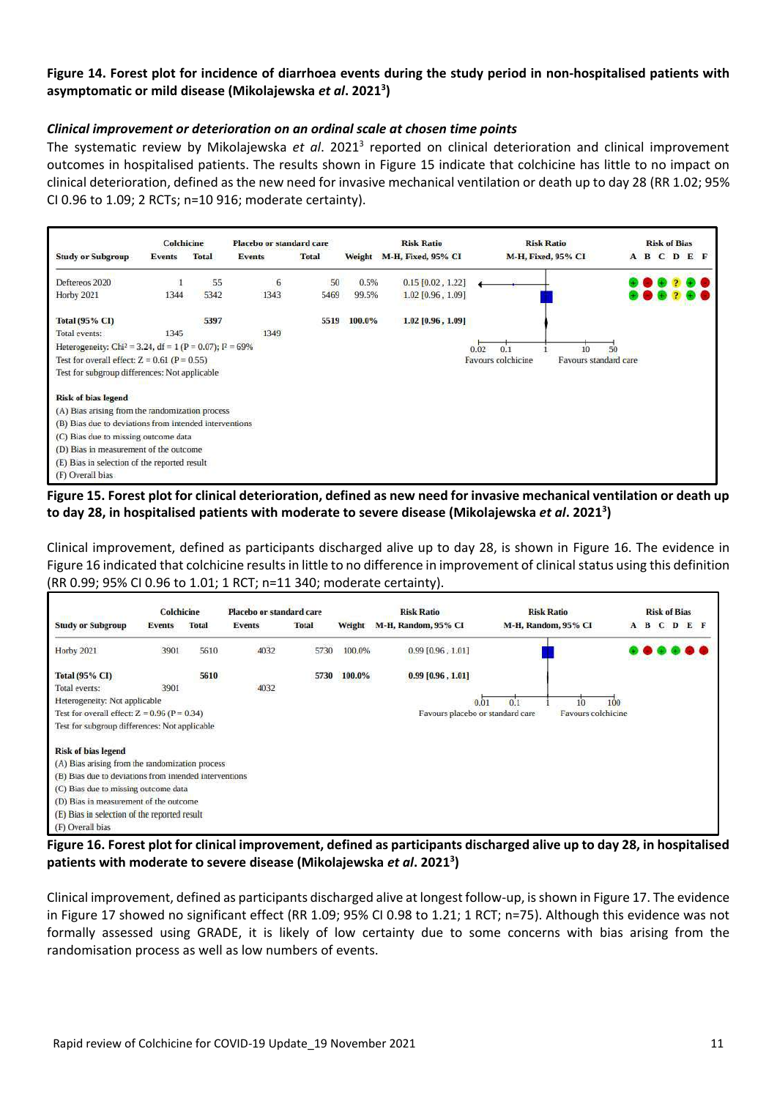#### <span id="page-10-0"></span>**Figure 14. Forest plot for incidence of diarrhoea events during the study period in non-hospitalised patients with asymptomatic or mild disease (Mikolajewska** *et al***. 2021<sup>3</sup> )**

#### *Clinical improvement or deterioration on an ordinal scale at chosen time points*

The systematic review by Mikolajewska et al. 2021<sup>3</sup> reported on clinical deterioration and clinical improvement outcomes in hospitalised patients. The results shown in [Figure 15](#page-10-1) indicate that colchicine has little to no impact on clinical deterioration, defined as the new need for invasive mechanical ventilation or death up to day 28 (RR 1.02; 95% CI 0.96 to 1.09; 2 RCTs; n=10 916; moderate certainty).



<span id="page-10-1"></span>**Figure 15. Forest plot for clinical deterioration, defined as new need for invasive mechanical ventilation or death up to day 28, in hospitalised patients with moderate to severe disease (Mikolajewska** *et al***. 2021<sup>3</sup> )**

Clinical improvement, defined as participants discharged alive up to day 28, is shown in [Figure 16.](#page-10-2) The evidence in [Figure 16](#page-10-2) indicated that colchicine results in little to no difference in improvement of clinical status using this definition (RR 0.99; 95% CI 0.96 to 1.01; 1 RCT; n=11 340; moderate certainty).

|                                                        | <b>Colchicine</b> |              | <b>Placebo or standard care</b> |              |        | <b>Risk Ratio</b>                | <b>Risk Ratio</b>   | <b>Risk of Bias</b>    |
|--------------------------------------------------------|-------------------|--------------|---------------------------------|--------------|--------|----------------------------------|---------------------|------------------------|
| <b>Study or Subgroup</b>                               | <b>Events</b>     | <b>Total</b> | <b>Events</b>                   | <b>Total</b> | Weight | M-H, Random, 95% CI              | M-H, Random, 95% CI | C<br>в<br>EF<br>D<br>A |
| <b>Horby 2021</b>                                      | 3901              | 5610         | 4032                            | 5730         | 100.0% | $0.99$ [0.96, 1.01]              |                     |                        |
| <b>Total (95% CI)</b>                                  |                   | 5610         |                                 | 5730         | 100.0% | $0.99$ [0.96, 1.01]              |                     |                        |
| Total events:                                          | 3901              |              | 4032                            |              |        |                                  |                     |                        |
| Heterogeneity: Not applicable                          |                   |              |                                 |              |        | 0.01                             | 0.1                 | 100                    |
| Test for overall effect: $Z = 0.96$ (P = 0.34)         |                   |              |                                 |              |        | Favours placebo or standard care | Favours colchicine  |                        |
| Test for subgroup differences: Not applicable          |                   |              |                                 |              |        |                                  |                     |                        |
| <b>Risk of bias legend</b>                             |                   |              |                                 |              |        |                                  |                     |                        |
| (A) Bias arising from the randomization process        |                   |              |                                 |              |        |                                  |                     |                        |
| (B) Bias due to deviations from intended interventions |                   |              |                                 |              |        |                                  |                     |                        |
| (C) Bias due to missing outcome data                   |                   |              |                                 |              |        |                                  |                     |                        |
| (D) Bias in measurement of the outcome                 |                   |              |                                 |              |        |                                  |                     |                        |
| (E) Bias in selection of the reported result           |                   |              |                                 |              |        |                                  |                     |                        |
| (F) Overall bias                                       |                   |              |                                 |              |        |                                  |                     |                        |

<span id="page-10-2"></span>**Figure 16. Forest plot for clinical improvement, defined as participants discharged alive up to day 28, in hospitalised patients with moderate to severe disease (Mikolajewska** *et al***. 2021<sup>3</sup> )**

Clinical improvement, defined as participants discharged alive at longest follow-up, is shown in [Figure 17.](#page-11-0) The evidence in [Figure 17](#page-11-0) showed no significant effect (RR 1.09; 95% CI 0.98 to 1.21; 1 RCT; n=75). Although this evidence was not formally assessed using GRADE, it is likely of low certainty due to some concerns with bias arising from the randomisation process as well as low numbers of events.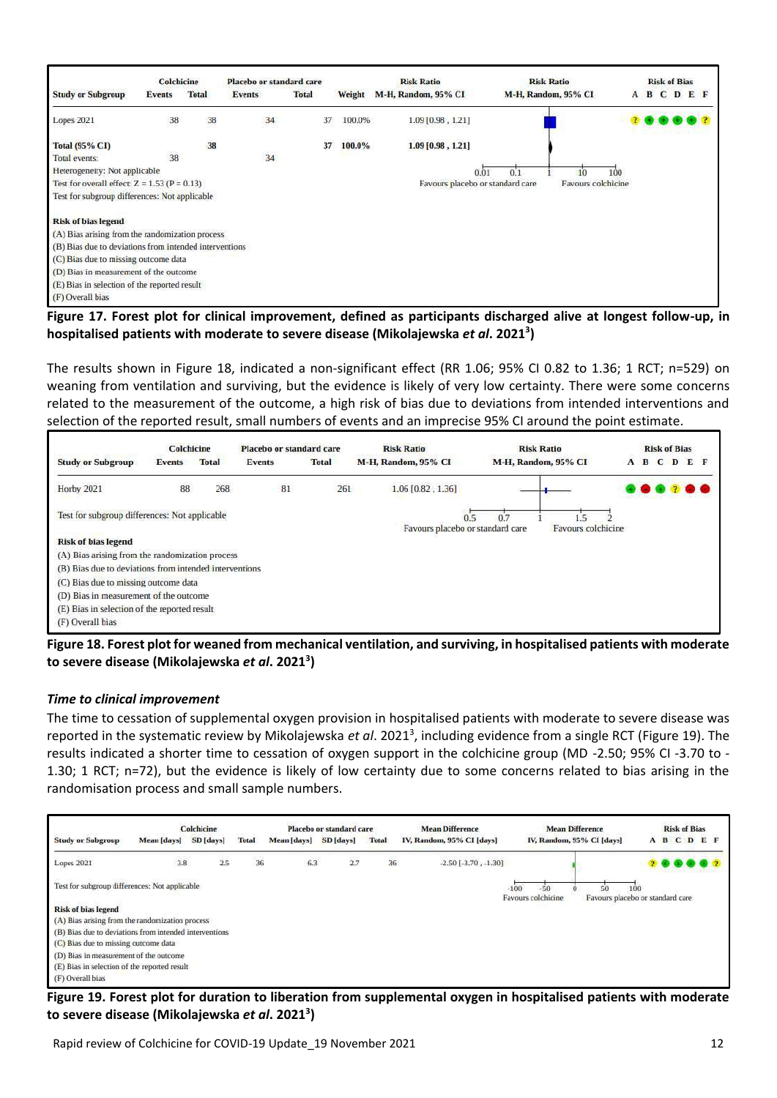|                                                        | <b>Colchicine</b> |              | Placebo or standard care |              |        | <b>Risk Ratio</b>                | <b>Risk Ratio</b>         |  | <b>Risk of Bias</b> |     |
|--------------------------------------------------------|-------------------|--------------|--------------------------|--------------|--------|----------------------------------|---------------------------|--|---------------------|-----|
| <b>Study or Subgroup</b>                               | Events            | <b>Total</b> | <b>Events</b>            | <b>Total</b> | Weight | M-H, Random, 95% CI              | M-H, Random, 95% CI       |  | A B C D             | E F |
| Lopes 2021                                             | 38                | 38           | 34                       | 37           | 100.0% | $1.09$ [0.98, 1.21]              |                           |  |                     |     |
| <b>Total (95% CI)</b>                                  |                   | 38           |                          | 37           | 100.0% | 1.09 [0.98, 1.21]                |                           |  |                     |     |
| Total events:                                          | 38                |              | $\overline{34}$          |              |        |                                  |                           |  |                     |     |
| Heterogeneity: Not applicable                          |                   |              |                          |              |        | 0.01                             | 100<br>0.1                |  |                     |     |
| Test for overall effect: $Z = 1.53$ (P = 0.13)         |                   |              |                          |              |        | Favours placebo or standard care | <b>Favours colchicine</b> |  |                     |     |
| Test for subgroup differences: Not applicable          |                   |              |                          |              |        |                                  |                           |  |                     |     |
| <b>Risk of bias legend</b>                             |                   |              |                          |              |        |                                  |                           |  |                     |     |
| (A) Bias arising from the randomization process        |                   |              |                          |              |        |                                  |                           |  |                     |     |
| (B) Bias due to deviations from intended interventions |                   |              |                          |              |        |                                  |                           |  |                     |     |
| (C) Bias due to missing outcome data                   |                   |              |                          |              |        |                                  |                           |  |                     |     |
| (D) Bias in measurement of the outcome                 |                   |              |                          |              |        |                                  |                           |  |                     |     |
| (E) Bias in selection of the reported result           |                   |              |                          |              |        |                                  |                           |  |                     |     |
| (F) Overall bias                                       |                   |              |                          |              |        |                                  |                           |  |                     |     |

<span id="page-11-0"></span>**Figure 17. Forest plot for clinical improvement, defined as participants discharged alive at longest follow-up, in hospitalised patients with moderate to severe disease (Mikolajewska** *et al***. 2021<sup>3</sup> )**

The results shown in [Figure 18,](#page-11-1) indicated a non-significant effect (RR 1.06; 95% CI 0.82 to 1.36; 1 RCT; n=529) on weaning from ventilation and surviving, but the evidence is likely of very low certainty. There were some concerns related to the measurement of the outcome, a high risk of bias due to deviations from intended interventions and selection of the reported result, small numbers of events and an imprecise 95% CI around the point estimate.



<span id="page-11-1"></span>**Figure 18. Forest plot for weaned from mechanical ventilation, and surviving, in hospitalised patients with moderate to severe disease (Mikolajewska** *et al***. 2021<sup>3</sup> )**

#### *Time to clinical improvement*

The time to cessation of supplemental oxygen provision in hospitalised patients with moderate to severe disease was reported in the systematic review by Mikolajewska *et al*. 2021<sup>3</sup> , including evidence from a single RCT [\(Figure 19\)](#page-11-2). The results indicated a shorter time to cessation of oxygen support in the colchicine group (MD -2.50; 95% CI -3.70 to - 1.30; 1 RCT; n=72), but the evidence is likely of low certainty due to some concerns related to bias arising in the randomisation process and small sample numbers.



<span id="page-11-2"></span>**Figure 19. Forest plot for duration to liberation from supplemental oxygen in hospitalised patients with moderate to severe disease (Mikolajewska** *et al***. 2021<sup>3</sup> )**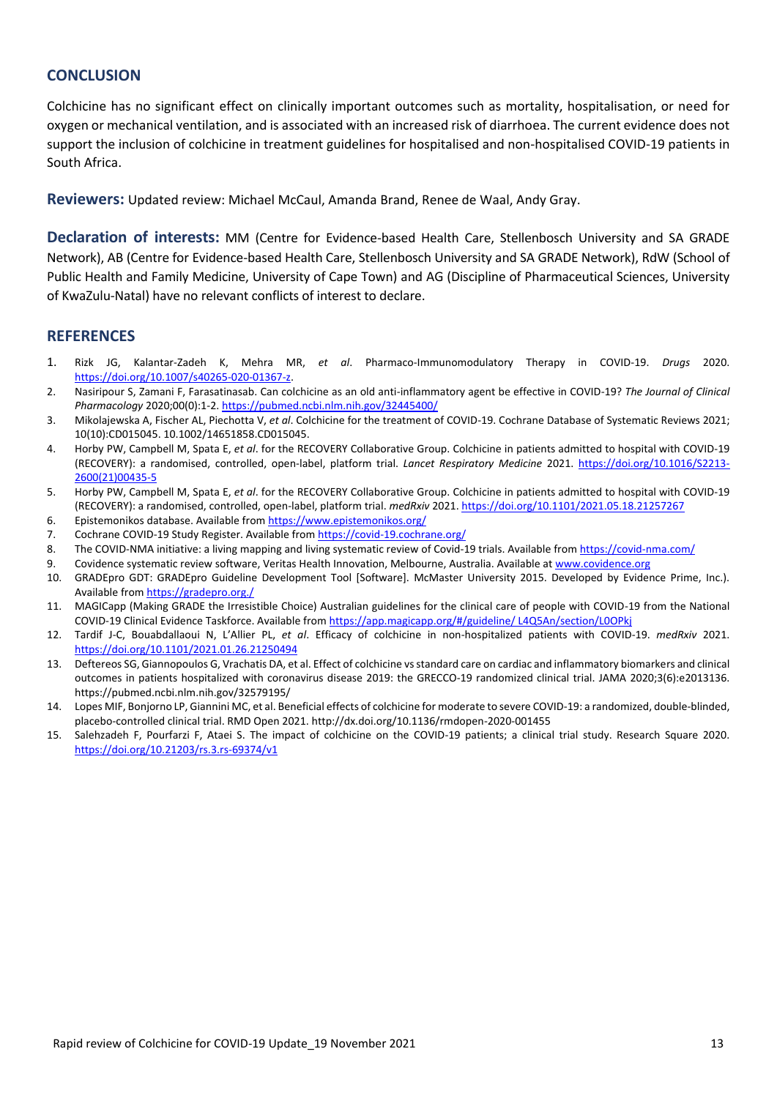### **CONCLUSION**

Colchicine has no significant effect on clinically important outcomes such as mortality, hospitalisation, or need for oxygen or mechanical ventilation, and is associated with an increased risk of diarrhoea. The current evidence does not support the inclusion of colchicine in treatment guidelines for hospitalised and non-hospitalised COVID-19 patients in South Africa.

**Reviewers:** Updated review: Michael McCaul, Amanda Brand, Renee de Waal, Andy Gray.

**Declaration of interests:** MM (Centre for Evidence-based Health Care, Stellenbosch University and SA GRADE Network), AB (Centre for Evidence-based Health Care, Stellenbosch University and SA GRADE Network), RdW (School of Public Health and Family Medicine, University of Cape Town) and AG (Discipline of Pharmaceutical Sciences, University of KwaZulu-Natal) have no relevant conflicts of interest to declare.

#### **REFERENCES**

- 1. Rizk JG, Kalantar-Zadeh K, Mehra MR, *et al*. Pharmaco-Immunomodulatory Therapy in COVID-19. *Drugs* 2020. [https://doi.org/10.1007/s40265-020-01367-z.](https://doi.org/10.1007/s40265-020-01367-z)
- 2. Nasiripour S, Zamani F, Farasatinasab. Can colchicine as an old anti-inflammatory agent be effective in COVID-19? *The Journal of Clinical Pharmacology* 2020;00(0):1-2[. https://pubmed.ncbi.nlm.nih.gov/32445400/](https://pubmed.ncbi.nlm.nih.gov/32445400/)
- 3. Mikolajewska A, Fischer AL, Piechotta V, *et al*. Colchicine for the treatment of COVID-19. Cochrane Database of Systematic Reviews 2021; 10(10):CD015045. 10.1002/14651858.CD015045.
- 4. Horby PW, Campbell M, Spata E, *et al*. for the RECOVERY Collaborative Group. Colchicine in patients admitted to hospital with COVID-19 (RECOVERY): a randomised, controlled, open-label, platform trial. *Lancet Respiratory Medicine* 2021. [https://doi.org/10.1016/S2213-](https://doi.org/10.1016/S2213-2600(21)00435-5) [2600\(21\)00435-5](https://doi.org/10.1016/S2213-2600(21)00435-5)
- 5. Horby PW, Campbell M, Spata E, *et al*. for the RECOVERY Collaborative Group. Colchicine in patients admitted to hospital with COVID-19 (RECOVERY): a randomised, controlled, open-label, platform trial. *medRxiv* 2021.<https://doi.org/10.1101/2021.05.18.21257267>
- 6. Epistemonikos database. Available fro[m https://www.epistemonikos.org/](https://www.epistemonikos.org/)
- 7. Cochrane COVID-19 Study Register. Available fro[m https://covid-19.cochrane.org/](https://covid-19.cochrane.org/)
- 8. The COVID-NMA initiative: a living mapping and living systematic review of Covid-19 trials. Available fro[m https://covid-nma.com/](https://covid-nma.com/)
- 9. Covidence systematic review software, Veritas Health Innovation, Melbourne, Australia. Available a[t www.covidence.org](http://www.covidence.org/)
- 10. GRADEpro GDT: GRADEpro Guideline Development Tool [Software]. McMaster University 2015. Developed by Evidence Prime, Inc.). Available fro[m https://gradepro.org./](https://gradepro.org./)
- 11. MAGICapp (Making GRADE the Irresistible Choice) Australian guidelines for the clinical care of people with COVID-19 from the National COVID-19 Clinical Evidence Taskforce. Available fro[m https://app.magicapp.org/#/guideline/ L4Q5An/section/L0OPkj](https://app.magicapp.org/#/guideline/ L4Q5An/section/L0OPkj)
- 12. Tardif J-C, Bouabdallaoui N, L'Allier PL, *et al*. Efficacy of colchicine in non-hospitalized patients with COVID-19. *medRxiv* 2021. <https://doi.org/10.1101/2021.01.26.21250494>
- 13. Deftereos SG, Giannopoulos G, Vrachatis DA, et al. Effect of colchicine vs standard care on cardiac and inflammatory biomarkers and clinical outcomes in patients hospitalized with coronavirus disease 2019: the GRECCO-19 randomized clinical trial. JAMA 2020;3(6):e2013136. https://pubmed.ncbi.nlm.nih.gov/32579195/
- 14. Lopes MIF, Bonjorno LP, Giannini MC, et al. Beneficial effects of colchicine for moderate to severe COVID-19: a randomized, double-blinded, placebo-controlled clinical trial. RMD Open 2021. http://dx.doi.org/10.1136/rmdopen-2020-001455
- 15. Salehzadeh F, Pourfarzi F, Ataei S. The impact of colchicine on the COVID-19 patients; a clinical trial study. Research Square 2020. <https://doi.org/10.21203/rs.3.rs-69374/v1>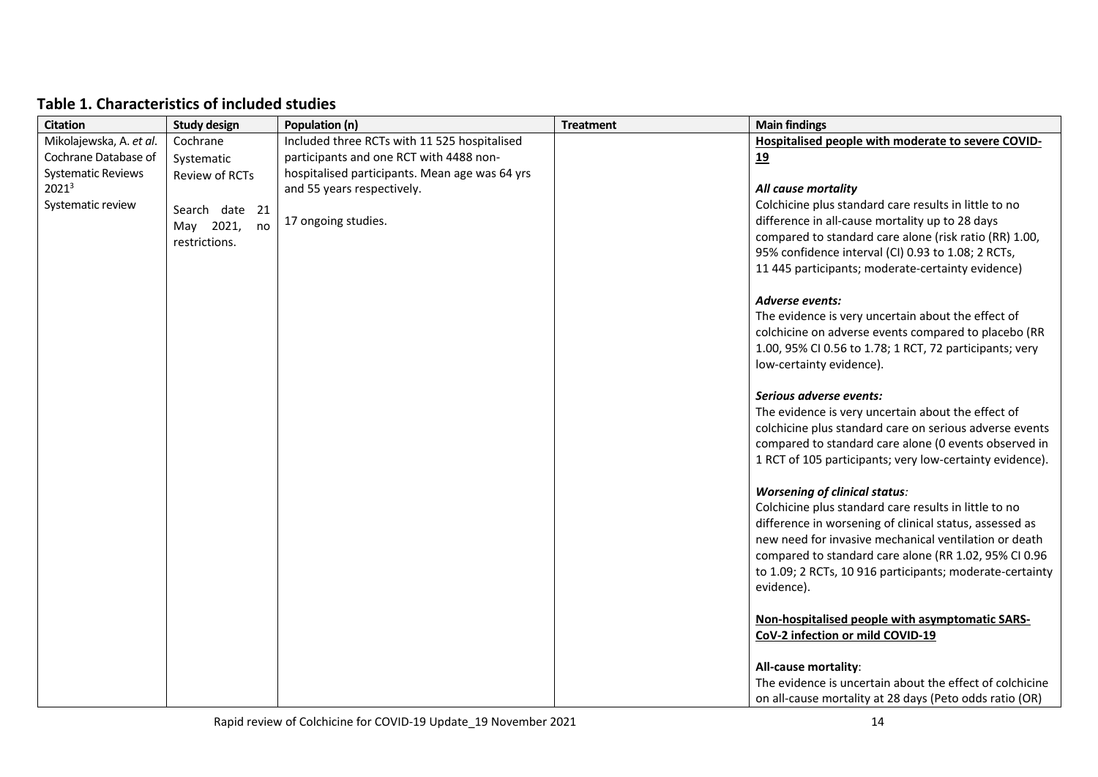| Table 1. Characteristics of included studies |  |
|----------------------------------------------|--|
|----------------------------------------------|--|

| <b>Citation</b>           | <b>Study design</b> | Population (n)                                 | <b>Treatment</b> | <b>Main findings</b>                                     |
|---------------------------|---------------------|------------------------------------------------|------------------|----------------------------------------------------------|
| Mikolajewska, A. et al.   | Cochrane            | Included three RCTs with 11 525 hospitalised   |                  | Hospitalised people with moderate to severe COVID-       |
| Cochrane Database of      | Systematic          | participants and one RCT with 4488 non-        |                  | 19                                                       |
| <b>Systematic Reviews</b> | Review of RCTs      | hospitalised participants. Mean age was 64 yrs |                  |                                                          |
| $2021^3$                  |                     | and 55 years respectively.                     |                  | All cause mortality                                      |
| Systematic review         | Search date 21      |                                                |                  | Colchicine plus standard care results in little to no    |
|                           | May 2021,<br>no     | 17 ongoing studies.                            |                  | difference in all-cause mortality up to 28 days          |
|                           | restrictions.       |                                                |                  | compared to standard care alone (risk ratio (RR) 1.00,   |
|                           |                     |                                                |                  | 95% confidence interval (CI) 0.93 to 1.08; 2 RCTs,       |
|                           |                     |                                                |                  | 11 445 participants; moderate-certainty evidence)        |
|                           |                     |                                                |                  | <b>Adverse events:</b>                                   |
|                           |                     |                                                |                  | The evidence is very uncertain about the effect of       |
|                           |                     |                                                |                  | colchicine on adverse events compared to placebo (RR     |
|                           |                     |                                                |                  | 1.00, 95% CI 0.56 to 1.78; 1 RCT, 72 participants; very  |
|                           |                     |                                                |                  | low-certainty evidence).                                 |
|                           |                     |                                                |                  | Serious adverse events:                                  |
|                           |                     |                                                |                  | The evidence is very uncertain about the effect of       |
|                           |                     |                                                |                  | colchicine plus standard care on serious adverse events  |
|                           |                     |                                                |                  | compared to standard care alone (0 events observed in    |
|                           |                     |                                                |                  | 1 RCT of 105 participants; very low-certainty evidence). |
|                           |                     |                                                |                  | <b>Worsening of clinical status:</b>                     |
|                           |                     |                                                |                  | Colchicine plus standard care results in little to no    |
|                           |                     |                                                |                  | difference in worsening of clinical status, assessed as  |
|                           |                     |                                                |                  | new need for invasive mechanical ventilation or death    |
|                           |                     |                                                |                  | compared to standard care alone (RR 1.02, 95% CI 0.96    |
|                           |                     |                                                |                  | to 1.09; 2 RCTs, 10 916 participants; moderate-certainty |
|                           |                     |                                                |                  | evidence).                                               |
|                           |                     |                                                |                  | Non-hospitalised people with asymptomatic SARS-          |
|                           |                     |                                                |                  | CoV-2 infection or mild COVID-19                         |
|                           |                     |                                                |                  | All-cause mortality:                                     |
|                           |                     |                                                |                  | The evidence is uncertain about the effect of colchicine |
|                           |                     |                                                |                  | on all-cause mortality at 28 days (Peto odds ratio (OR)  |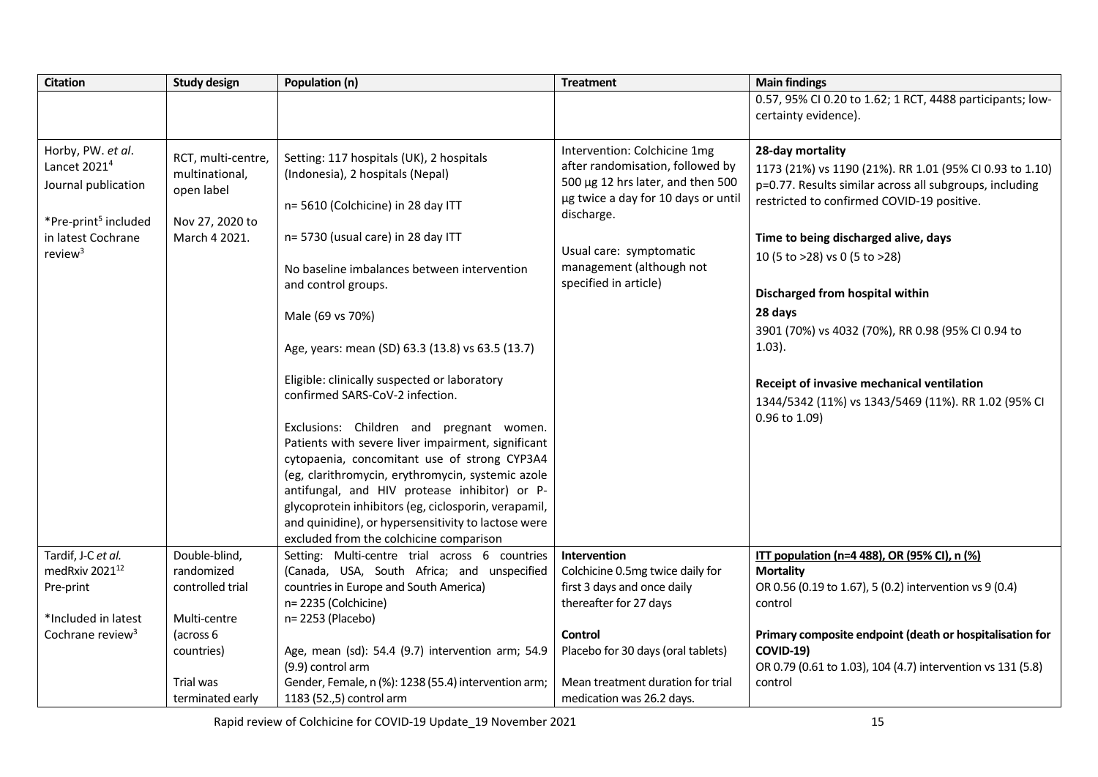| <b>Citation</b>                                                                                                                              | <b>Study design</b>                                                                    | Population (n)                                                                                                                                                                                                                                                                                                                                                                                                                                                                              | <b>Treatment</b>                                                                                                                                                                                                                           | <b>Main findings</b>                                                                                                                                                                                                                                                                                                                                                                                                                                                                                |
|----------------------------------------------------------------------------------------------------------------------------------------------|----------------------------------------------------------------------------------------|---------------------------------------------------------------------------------------------------------------------------------------------------------------------------------------------------------------------------------------------------------------------------------------------------------------------------------------------------------------------------------------------------------------------------------------------------------------------------------------------|--------------------------------------------------------------------------------------------------------------------------------------------------------------------------------------------------------------------------------------------|-----------------------------------------------------------------------------------------------------------------------------------------------------------------------------------------------------------------------------------------------------------------------------------------------------------------------------------------------------------------------------------------------------------------------------------------------------------------------------------------------------|
|                                                                                                                                              |                                                                                        |                                                                                                                                                                                                                                                                                                                                                                                                                                                                                             |                                                                                                                                                                                                                                            | 0.57, 95% CI 0.20 to 1.62; 1 RCT, 4488 participants; low-<br>certainty evidence).                                                                                                                                                                                                                                                                                                                                                                                                                   |
| Horby, PW. et al.<br>Lancet 2021 <sup>4</sup><br>Journal publication<br>*Pre-print <sup>5</sup> included<br>in latest Cochrane<br>review $3$ | RCT, multi-centre,<br>multinational,<br>open label<br>Nov 27, 2020 to<br>March 4 2021. | Setting: 117 hospitals (UK), 2 hospitals<br>(Indonesia), 2 hospitals (Nepal)<br>n= 5610 (Colchicine) in 28 day ITT<br>n= 5730 (usual care) in 28 day ITT<br>No baseline imbalances between intervention<br>and control groups.<br>Male (69 vs 70%)<br>Age, years: mean (SD) 63.3 (13.8) vs 63.5 (13.7)<br>Eligible: clinically suspected or laboratory<br>confirmed SARS-CoV-2 infection.<br>Exclusions: Children and pregnant women.<br>Patients with severe liver impairment, significant | Intervention: Colchicine 1mg<br>after randomisation, followed by<br>500 µg 12 hrs later, and then 500<br>µg twice a day for 10 days or until<br>discharge.<br>Usual care: symptomatic<br>management (although not<br>specified in article) | 28-day mortality<br>1173 (21%) vs 1190 (21%). RR 1.01 (95% CI 0.93 to 1.10)<br>p=0.77. Results similar across all subgroups, including<br>restricted to confirmed COVID-19 positive.<br>Time to being discharged alive, days<br>10 (5 to >28) vs 0 (5 to >28)<br>Discharged from hospital within<br>28 days<br>3901 (70%) vs 4032 (70%), RR 0.98 (95% CI 0.94 to<br>$1.03$ ).<br>Receipt of invasive mechanical ventilation<br>1344/5342 (11%) vs 1343/5469 (11%). RR 1.02 (95% CI<br>0.96 to 1.09) |
|                                                                                                                                              |                                                                                        | cytopaenia, concomitant use of strong CYP3A4<br>(eg, clarithromycin, erythromycin, systemic azole<br>antifungal, and HIV protease inhibitor) or P-<br>glycoprotein inhibitors (eg, ciclosporin, verapamil,<br>and quinidine), or hypersensitivity to lactose were<br>excluded from the colchicine comparison                                                                                                                                                                                |                                                                                                                                                                                                                                            |                                                                                                                                                                                                                                                                                                                                                                                                                                                                                                     |
| Tardif, J-C et al.                                                                                                                           | Double-blind,                                                                          | Setting: Multi-centre trial across 6 countries                                                                                                                                                                                                                                                                                                                                                                                                                                              | Intervention                                                                                                                                                                                                                               | ITT population (n=4 488), OR (95% CI), n (%)                                                                                                                                                                                                                                                                                                                                                                                                                                                        |
| medRxiv 2021 <sup>12</sup>                                                                                                                   | randomized                                                                             | (Canada, USA, South Africa; and unspecified                                                                                                                                                                                                                                                                                                                                                                                                                                                 | Colchicine 0.5mg twice daily for                                                                                                                                                                                                           | <b>Mortality</b>                                                                                                                                                                                                                                                                                                                                                                                                                                                                                    |
| Pre-print                                                                                                                                    | controlled trial                                                                       | countries in Europe and South America)<br>n= 2235 (Colchicine)                                                                                                                                                                                                                                                                                                                                                                                                                              | first 3 days and once daily<br>thereafter for 27 days                                                                                                                                                                                      | OR 0.56 (0.19 to 1.67), 5 (0.2) intervention vs 9 (0.4)<br>control                                                                                                                                                                                                                                                                                                                                                                                                                                  |
| *Included in latest                                                                                                                          | Multi-centre                                                                           | n= 2253 (Placebo)                                                                                                                                                                                                                                                                                                                                                                                                                                                                           |                                                                                                                                                                                                                                            |                                                                                                                                                                                                                                                                                                                                                                                                                                                                                                     |
| Cochrane review <sup>3</sup>                                                                                                                 | (across 6                                                                              |                                                                                                                                                                                                                                                                                                                                                                                                                                                                                             | Control                                                                                                                                                                                                                                    | Primary composite endpoint (death or hospitalisation for                                                                                                                                                                                                                                                                                                                                                                                                                                            |
|                                                                                                                                              | countries)                                                                             | Age, mean (sd): 54.4 (9.7) intervention arm; 54.9                                                                                                                                                                                                                                                                                                                                                                                                                                           | Placebo for 30 days (oral tablets)                                                                                                                                                                                                         | <b>COVID-19)</b>                                                                                                                                                                                                                                                                                                                                                                                                                                                                                    |
|                                                                                                                                              |                                                                                        | (9.9) control arm                                                                                                                                                                                                                                                                                                                                                                                                                                                                           |                                                                                                                                                                                                                                            | OR 0.79 (0.61 to 1.03), 104 (4.7) intervention vs 131 (5.8)                                                                                                                                                                                                                                                                                                                                                                                                                                         |
|                                                                                                                                              | Trial was                                                                              | Gender, Female, n (%): 1238 (55.4) intervention arm;                                                                                                                                                                                                                                                                                                                                                                                                                                        | Mean treatment duration for trial                                                                                                                                                                                                          | control                                                                                                                                                                                                                                                                                                                                                                                                                                                                                             |
|                                                                                                                                              | terminated early                                                                       | 1183 (52.,5) control arm                                                                                                                                                                                                                                                                                                                                                                                                                                                                    | medication was 26.2 days.                                                                                                                                                                                                                  |                                                                                                                                                                                                                                                                                                                                                                                                                                                                                                     |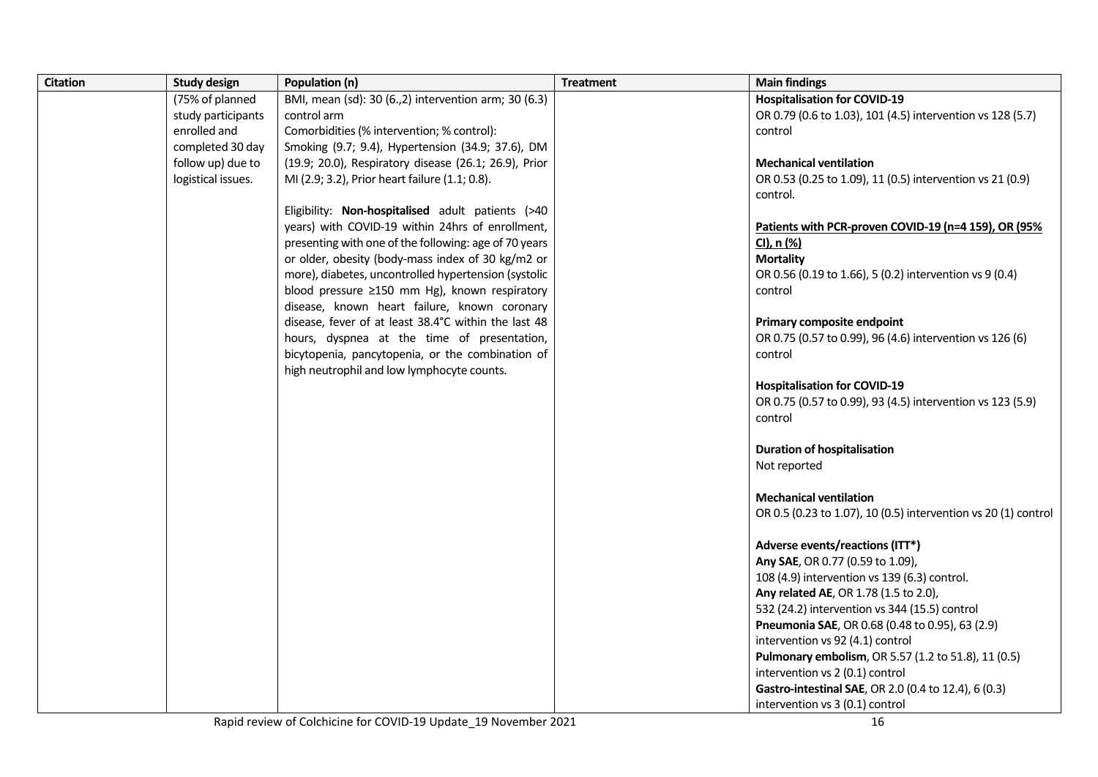| <b>Citation</b> | <b>Study design</b> | Population (n)                                        | <b>Treatment</b> | <b>Main findings</b>                                                  |
|-----------------|---------------------|-------------------------------------------------------|------------------|-----------------------------------------------------------------------|
|                 | (75% of planned     | BMI, mean (sd): 30 (6.,2) intervention arm; 30 (6.3)  |                  | <b>Hospitalisation for COVID-19</b>                                   |
|                 | study participants  | control arm                                           |                  | OR 0.79 (0.6 to 1.03), 101 (4.5) intervention vs 128 (5.7)            |
|                 | enrolled and        | Comorbidities (% intervention; % control):            |                  | control                                                               |
|                 | completed 30 day    | Smoking (9.7; 9.4), Hypertension (34.9; 37.6), DM     |                  |                                                                       |
|                 | follow up) due to   | (19.9; 20.0), Respiratory disease (26.1; 26.9), Prior |                  | <b>Mechanical ventilation</b>                                         |
|                 | logistical issues.  | MI (2.9; 3.2), Prior heart failure (1.1; 0.8).        |                  | OR 0.53 (0.25 to 1.09), 11 (0.5) intervention vs 21 (0.9)             |
|                 |                     |                                                       |                  | control.                                                              |
|                 |                     | Eligibility: Non-hospitalised adult patients (>40     |                  |                                                                       |
|                 |                     | years) with COVID-19 within 24hrs of enrollment,      |                  | Patients with PCR-proven COVID-19 (n=4 159), OR (95%                  |
|                 |                     | presenting with one of the following: age of 70 years |                  | CI), n (%)                                                            |
|                 |                     | or older, obesity (body-mass index of 30 kg/m2 or     |                  | <b>Mortality</b>                                                      |
|                 |                     | more), diabetes, uncontrolled hypertension (systolic  |                  | OR 0.56 (0.19 to 1.66), 5 (0.2) intervention vs 9 (0.4)               |
|                 |                     | blood pressure ≥150 mm Hg), known respiratory         |                  | control                                                               |
|                 |                     | disease, known heart failure, known coronary          |                  |                                                                       |
|                 |                     | disease, fever of at least 38.4°C within the last 48  |                  | Primary composite endpoint                                            |
|                 |                     | hours, dyspnea at the time of presentation,           |                  | OR 0.75 (0.57 to 0.99), 96 (4.6) intervention vs 126 (6)              |
|                 |                     | bicytopenia, pancytopenia, or the combination of      |                  | control                                                               |
|                 |                     | high neutrophil and low lymphocyte counts.            |                  |                                                                       |
|                 |                     |                                                       |                  | <b>Hospitalisation for COVID-19</b>                                   |
|                 |                     |                                                       |                  | OR 0.75 (0.57 to 0.99), 93 (4.5) intervention vs 123 (5.9)<br>control |
|                 |                     |                                                       |                  |                                                                       |
|                 |                     |                                                       |                  | <b>Duration of hospitalisation</b>                                    |
|                 |                     |                                                       |                  | Not reported                                                          |
|                 |                     |                                                       |                  |                                                                       |
|                 |                     |                                                       |                  | <b>Mechanical ventilation</b>                                         |
|                 |                     |                                                       |                  | OR 0.5 (0.23 to 1.07), 10 (0.5) intervention vs 20 (1) control        |
|                 |                     |                                                       |                  |                                                                       |
|                 |                     |                                                       |                  | Adverse events/reactions (ITT*)                                       |
|                 |                     |                                                       |                  | Any SAE, OR 0.77 (0.59 to 1.09),                                      |
|                 |                     |                                                       |                  | 108 (4.9) intervention vs 139 (6.3) control.                          |
|                 |                     |                                                       |                  | Any related AE, OR 1.78 (1.5 to 2.0),                                 |
|                 |                     |                                                       |                  | 532 (24.2) intervention vs 344 (15.5) control                         |
|                 |                     |                                                       |                  | Pneumonia SAE, OR 0.68 (0.48 to 0.95), 63 (2.9)                       |
|                 |                     |                                                       |                  | intervention vs 92 (4.1) control                                      |
|                 |                     |                                                       |                  | Pulmonary embolism, OR 5.57 (1.2 to 51.8), 11 (0.5)                   |
|                 |                     |                                                       |                  | intervention vs 2 (0.1) control                                       |
|                 |                     |                                                       |                  | Gastro-intestinal SAE, OR 2.0 (0.4 to 12.4), 6 (0.3)                  |
|                 |                     |                                                       |                  | intervention vs 3 (0.1) control                                       |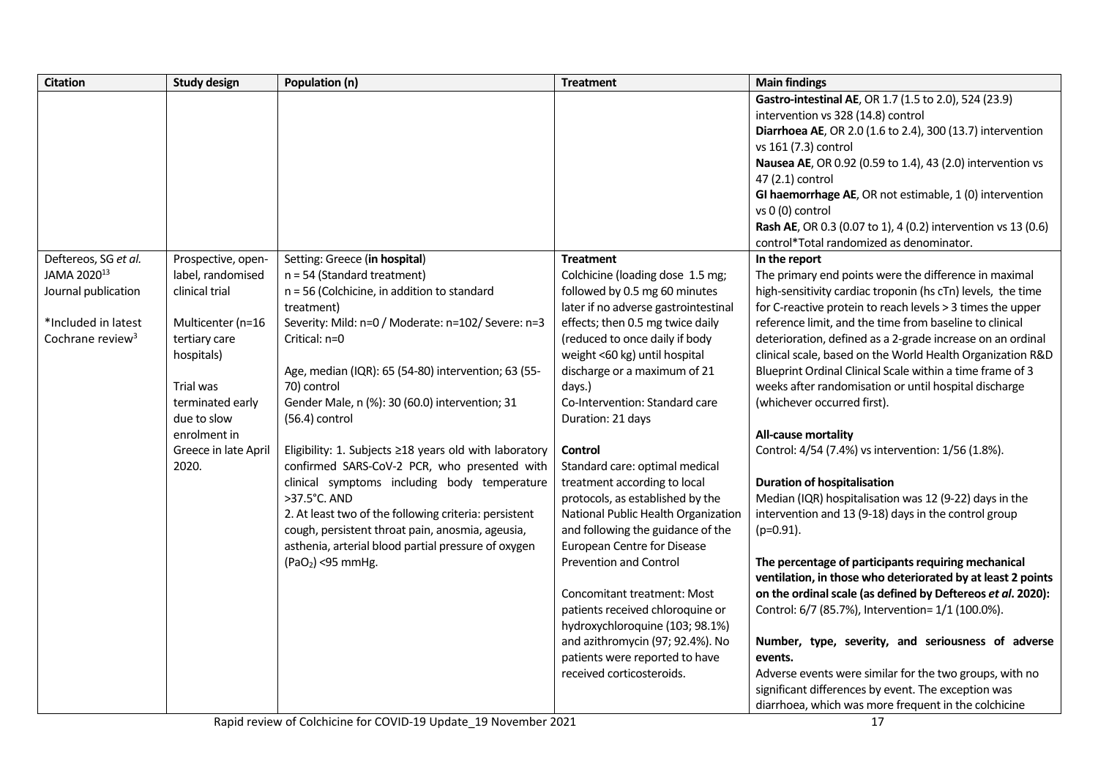| <b>Citation</b>              | <b>Study design</b>  | Population (n)                                         | <b>Treatment</b>                     | <b>Main findings</b>                                                                                               |
|------------------------------|----------------------|--------------------------------------------------------|--------------------------------------|--------------------------------------------------------------------------------------------------------------------|
|                              |                      |                                                        |                                      | Gastro-intestinal AE, OR 1.7 (1.5 to 2.0), 524 (23.9)                                                              |
|                              |                      |                                                        |                                      | intervention vs 328 (14.8) control                                                                                 |
|                              |                      |                                                        |                                      | Diarrhoea AE, OR 2.0 (1.6 to 2.4), 300 (13.7) intervention                                                         |
|                              |                      |                                                        |                                      | vs 161 (7.3) control                                                                                               |
|                              |                      |                                                        |                                      | Nausea AE, OR 0.92 (0.59 to 1.4), 43 (2.0) intervention vs                                                         |
|                              |                      |                                                        |                                      | 47 (2.1) control                                                                                                   |
|                              |                      |                                                        |                                      | GI haemorrhage AE, OR not estimable, 1 (0) intervention                                                            |
|                              |                      |                                                        |                                      | vs 0 (0) control                                                                                                   |
|                              |                      |                                                        |                                      | Rash AE, OR 0.3 (0.07 to 1), 4 (0.2) intervention vs 13 (0.6)                                                      |
|                              |                      |                                                        |                                      | control*Total randomized as denominator.                                                                           |
| Deftereos, SG et al.         | Prospective, open-   | Setting: Greece (in hospital)                          | <b>Treatment</b>                     | In the report                                                                                                      |
| JAMA 2020 <sup>13</sup>      | label, randomised    | $n = 54$ (Standard treatment)                          | Colchicine (loading dose 1.5 mg;     | The primary end points were the difference in maximal                                                              |
| Journal publication          | clinical trial       | n = 56 (Colchicine, in addition to standard            | followed by 0.5 mg 60 minutes        | high-sensitivity cardiac troponin (hs cTn) levels, the time                                                        |
|                              |                      | treatment)                                             | later if no adverse gastrointestinal | for C-reactive protein to reach levels > 3 times the upper                                                         |
| *Included in latest          | Multicenter (n=16    | Severity: Mild: n=0 / Moderate: n=102/ Severe: n=3     | effects; then 0.5 mg twice daily     | reference limit, and the time from baseline to clinical                                                            |
| Cochrane review <sup>3</sup> | tertiary care        | Critical: n=0                                          | (reduced to once daily if body       | deterioration, defined as a 2-grade increase on an ordinal                                                         |
|                              | hospitals)           |                                                        | weight <60 kg) until hospital        | clinical scale, based on the World Health Organization R&D                                                         |
|                              |                      | Age, median (IQR): 65 (54-80) intervention; 63 (55-    | discharge or a maximum of 21         | Blueprint Ordinal Clinical Scale within a time frame of 3                                                          |
|                              | Trial was            | 70) control                                            | days.)                               | weeks after randomisation or until hospital discharge                                                              |
|                              | terminated early     | Gender Male, n (%): 30 (60.0) intervention; 31         | Co-Intervention: Standard care       | (whichever occurred first).                                                                                        |
|                              | due to slow          | $(56.4)$ control                                       | Duration: 21 days                    |                                                                                                                    |
|                              | enrolment in         |                                                        |                                      | All-cause mortality                                                                                                |
|                              | Greece in late April | Eligibility: 1. Subjects ≥18 years old with laboratory | Control                              | Control: 4/54 (7.4%) vs intervention: 1/56 (1.8%).                                                                 |
|                              | 2020.                | confirmed SARS-CoV-2 PCR, who presented with           | Standard care: optimal medical       |                                                                                                                    |
|                              |                      | clinical symptoms including body temperature           | treatment according to local         | <b>Duration of hospitalisation</b>                                                                                 |
|                              |                      | >37.5°C. AND                                           | protocols, as established by the     | Median (IQR) hospitalisation was 12 (9-22) days in the                                                             |
|                              |                      | 2. At least two of the following criteria: persistent  | National Public Health Organization  | intervention and 13 (9-18) days in the control group                                                               |
|                              |                      | cough, persistent throat pain, anosmia, ageusia,       | and following the guidance of the    | $(p=0.91)$ .                                                                                                       |
|                              |                      | asthenia, arterial blood partial pressure of oxygen    | <b>European Centre for Disease</b>   |                                                                                                                    |
|                              |                      | $(PaO2)$ <95 mmHg.                                     | <b>Prevention and Control</b>        | The percentage of participants requiring mechanical<br>ventilation, in those who deteriorated by at least 2 points |
|                              |                      |                                                        | Concomitant treatment: Most          | on the ordinal scale (as defined by Deftereos et al. 2020):                                                        |
|                              |                      |                                                        | patients received chloroquine or     | Control: 6/7 (85.7%), Intervention= 1/1 (100.0%).                                                                  |
|                              |                      |                                                        | hydroxychloroquine (103; 98.1%)      |                                                                                                                    |
|                              |                      |                                                        | and azithromycin (97; 92.4%). No     | Number, type, severity, and seriousness of adverse                                                                 |
|                              |                      |                                                        | patients were reported to have       | events.                                                                                                            |
|                              |                      |                                                        | received corticosteroids.            | Adverse events were similar for the two groups, with no                                                            |
|                              |                      |                                                        |                                      | significant differences by event. The exception was                                                                |
|                              |                      |                                                        |                                      | diarrhoea, which was more frequent in the colchicine                                                               |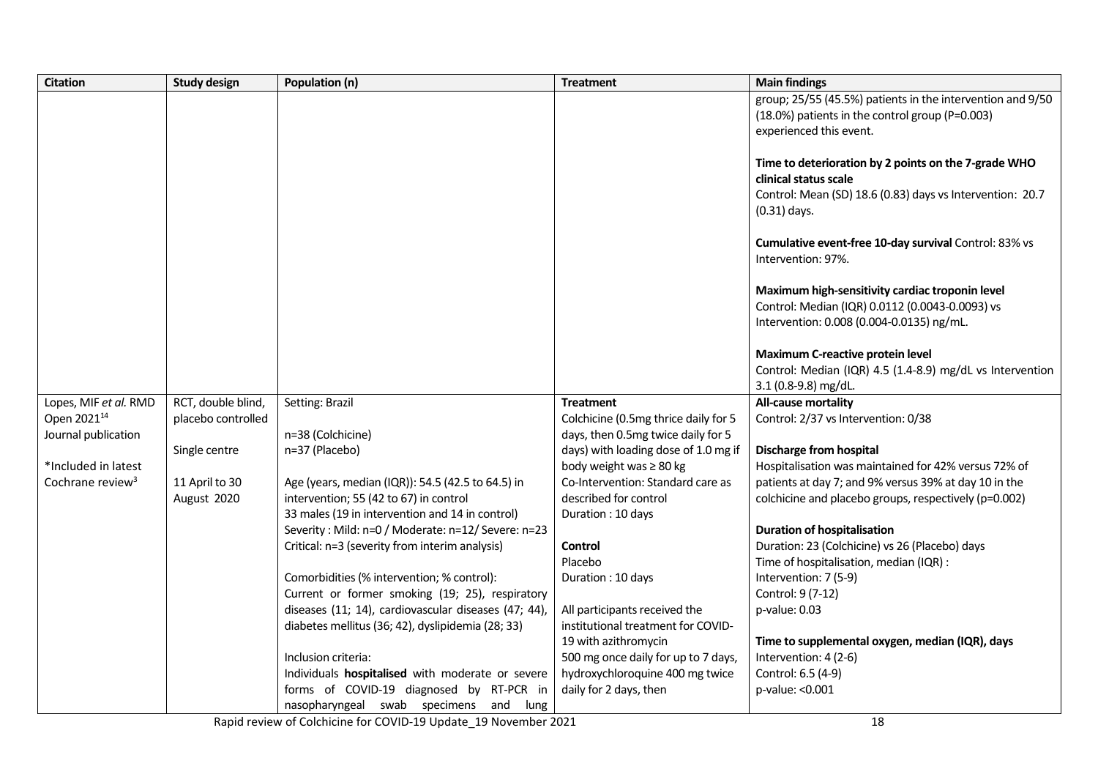| <b>Citation</b>              | <b>Study design</b> | Population (n)                                       | <b>Treatment</b>                     | <b>Main findings</b>                                       |
|------------------------------|---------------------|------------------------------------------------------|--------------------------------------|------------------------------------------------------------|
|                              |                     |                                                      |                                      | group; 25/55 (45.5%) patients in the intervention and 9/50 |
|                              |                     |                                                      |                                      | (18.0%) patients in the control group (P=0.003)            |
|                              |                     |                                                      |                                      | experienced this event.                                    |
|                              |                     |                                                      |                                      |                                                            |
|                              |                     |                                                      |                                      | Time to deterioration by 2 points on the 7-grade WHO       |
|                              |                     |                                                      |                                      | clinical status scale                                      |
|                              |                     |                                                      |                                      | Control: Mean (SD) 18.6 (0.83) days vs Intervention: 20.7  |
|                              |                     |                                                      |                                      | $(0.31)$ days.                                             |
|                              |                     |                                                      |                                      | Cumulative event-free 10-day survival Control: 83% vs      |
|                              |                     |                                                      |                                      | Intervention: 97%.                                         |
|                              |                     |                                                      |                                      |                                                            |
|                              |                     |                                                      |                                      | Maximum high-sensitivity cardiac troponin level            |
|                              |                     |                                                      |                                      | Control: Median (IQR) 0.0112 (0.0043-0.0093) vs            |
|                              |                     |                                                      |                                      | Intervention: 0.008 (0.004-0.0135) ng/mL.                  |
|                              |                     |                                                      |                                      |                                                            |
|                              |                     |                                                      |                                      | <b>Maximum C-reactive protein level</b>                    |
|                              |                     |                                                      |                                      | Control: Median (IQR) 4.5 (1.4-8.9) mg/dL vs Intervention  |
|                              |                     |                                                      |                                      | 3.1 (0.8-9.8) mg/dL.                                       |
| Lopes, MIF et al. RMD        | RCT, double blind,  | Setting: Brazil                                      | <b>Treatment</b>                     | All-cause mortality                                        |
| Open 2021 <sup>14</sup>      | placebo controlled  |                                                      | Colchicine (0.5mg thrice daily for 5 | Control: 2/37 vs Intervention: 0/38                        |
| Journal publication          |                     | n=38 (Colchicine)                                    | days, then 0.5mg twice daily for 5   |                                                            |
|                              | Single centre       | n=37 (Placebo)                                       | days) with loading dose of 1.0 mg if | <b>Discharge from hospital</b>                             |
| *Included in latest          |                     |                                                      | body weight was ≥ 80 kg              | Hospitalisation was maintained for 42% versus 72% of       |
| Cochrane review <sup>3</sup> | 11 April to 30      | Age (years, median (IQR)): 54.5 (42.5 to 64.5) in    | Co-Intervention: Standard care as    | patients at day 7; and 9% versus 39% at day 10 in the      |
|                              | August 2020         | intervention; 55 (42 to 67) in control               | described for control                | colchicine and placebo groups, respectively (p=0.002)      |
|                              |                     | 33 males (19 in intervention and 14 in control)      | Duration: 10 days                    |                                                            |
|                              |                     | Severity: Mild: n=0 / Moderate: n=12/ Severe: n=23   |                                      | <b>Duration of hospitalisation</b>                         |
|                              |                     | Critical: n=3 (severity from interim analysis)       | Control                              | Duration: 23 (Colchicine) vs 26 (Placebo) days             |
|                              |                     |                                                      | Placebo                              | Time of hospitalisation, median (IQR) :                    |
|                              |                     | Comorbidities (% intervention; % control):           | Duration: 10 days                    | Intervention: 7 (5-9)                                      |
|                              |                     | Current or former smoking (19; 25), respiratory      |                                      | Control: 9 (7-12)                                          |
|                              |                     | diseases (11; 14), cardiovascular diseases (47; 44), | All participants received the        | p-value: 0.03                                              |
|                              |                     | diabetes mellitus (36; 42), dyslipidemia (28; 33)    | institutional treatment for COVID-   |                                                            |
|                              |                     |                                                      | 19 with azithromycin                 | Time to supplemental oxygen, median (IQR), days            |
|                              |                     | Inclusion criteria:                                  | 500 mg once daily for up to 7 days,  | Intervention: 4 (2-6)                                      |
|                              |                     | Individuals hospitalised with moderate or severe     | hydroxychloroquine 400 mg twice      | Control: 6.5 (4-9)                                         |
|                              |                     | forms of COVID-19 diagnosed by RT-PCR in             | daily for 2 days, then               | p-value: < 0.001                                           |
|                              |                     | nasopharyngeal swab specimens and lung               |                                      |                                                            |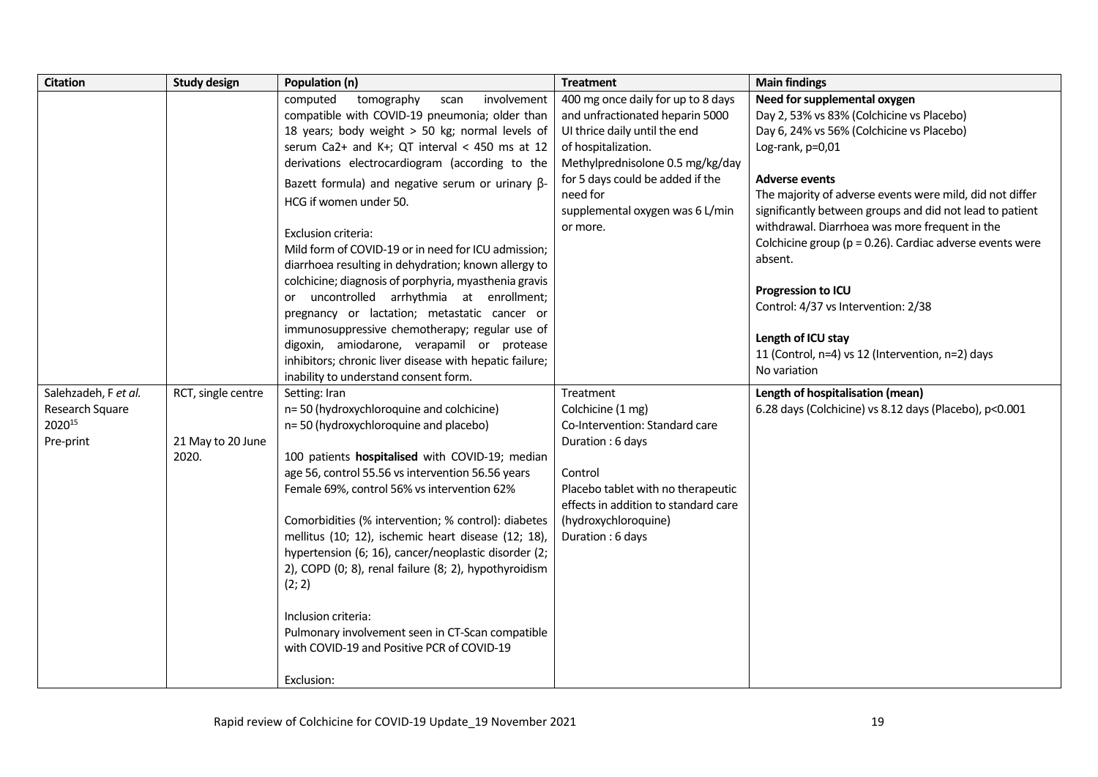| <b>Citation</b>                                                         | <b>Study design</b>                     | Population (n)                                                                                                                                                                                                                                                                                                                                                                                                                                                                                                                                                                                                                                                                                                                                                                                                                                                                                                                                                                                                                                                                                                                                                                                                                                                                                                                                                                                                                                                                           | <b>Treatment</b>                                                                                                                                                                                                                                                                                                                                                                                                                                                                              | <b>Main findings</b>                                                                                                                                                                                                                                                                                                                                                                                                                                                                                                                                                                                                                                                          |
|-------------------------------------------------------------------------|-----------------------------------------|------------------------------------------------------------------------------------------------------------------------------------------------------------------------------------------------------------------------------------------------------------------------------------------------------------------------------------------------------------------------------------------------------------------------------------------------------------------------------------------------------------------------------------------------------------------------------------------------------------------------------------------------------------------------------------------------------------------------------------------------------------------------------------------------------------------------------------------------------------------------------------------------------------------------------------------------------------------------------------------------------------------------------------------------------------------------------------------------------------------------------------------------------------------------------------------------------------------------------------------------------------------------------------------------------------------------------------------------------------------------------------------------------------------------------------------------------------------------------------------|-----------------------------------------------------------------------------------------------------------------------------------------------------------------------------------------------------------------------------------------------------------------------------------------------------------------------------------------------------------------------------------------------------------------------------------------------------------------------------------------------|-------------------------------------------------------------------------------------------------------------------------------------------------------------------------------------------------------------------------------------------------------------------------------------------------------------------------------------------------------------------------------------------------------------------------------------------------------------------------------------------------------------------------------------------------------------------------------------------------------------------------------------------------------------------------------|
| Salehzadeh, F et al.<br>Research Square<br>202015<br>Pre-print<br>2020. | RCT, single centre<br>21 May to 20 June | computed<br>involvement<br>tomography<br>scan<br>compatible with COVID-19 pneumonia; older than<br>18 years; body weight > 50 kg; normal levels of<br>serum Ca2+ and K+; QT interval < 450 ms at 12<br>derivations electrocardiogram (according to the<br>Bazett formula) and negative serum or urinary $\beta$ -<br>HCG if women under 50.<br>Exclusion criteria:<br>Mild form of COVID-19 or in need for ICU admission;<br>diarrhoea resulting in dehydration; known allergy to<br>colchicine; diagnosis of porphyria, myasthenia gravis<br>or uncontrolled arrhythmia at enrollment;<br>pregnancy or lactation; metastatic cancer or<br>immunosuppressive chemotherapy; regular use of<br>digoxin, amiodarone, verapamil or protease<br>inhibitors; chronic liver disease with hepatic failure;<br>inability to understand consent form.<br>Setting: Iran<br>n=50 (hydroxychloroquine and colchicine)<br>n=50 (hydroxychloroquine and placebo)<br>100 patients hospitalised with COVID-19; median<br>age 56, control 55.56 vs intervention 56.56 years<br>Female 69%, control 56% vs intervention 62%<br>Comorbidities (% intervention; % control): diabetes<br>mellitus (10; 12), ischemic heart disease (12; 18),<br>hypertension (6; 16), cancer/neoplastic disorder (2;<br>2), COPD (0; 8), renal failure (8; 2), hypothyroidism<br>(2; 2)<br>Inclusion criteria:<br>Pulmonary involvement seen in CT-Scan compatible<br>with COVID-19 and Positive PCR of COVID-19<br>Exclusion: | 400 mg once daily for up to 8 days<br>and unfractionated heparin 5000<br>UI thrice daily until the end<br>of hospitalization.<br>Methylprednisolone 0.5 mg/kg/day<br>for 5 days could be added if the<br>need for<br>supplemental oxygen was 6 L/min<br>or more.<br>Treatment<br>Colchicine (1 mg)<br>Co-Intervention: Standard care<br>Duration: 6 days<br>Control<br>Placebo tablet with no therapeutic<br>effects in addition to standard care<br>(hydroxychloroquine)<br>Duration: 6 days | Need for supplemental oxygen<br>Day 2, 53% vs 83% (Colchicine vs Placebo)<br>Day 6, 24% vs 56% (Colchicine vs Placebo)<br>Log-rank, p=0,01<br>Adverse events<br>The majority of adverse events were mild, did not differ<br>significantly between groups and did not lead to patient<br>withdrawal. Diarrhoea was more frequent in the<br>Colchicine group ( $p = 0.26$ ). Cardiac adverse events were<br>absent.<br><b>Progression to ICU</b><br>Control: 4/37 vs Intervention: 2/38<br>Length of ICU stay<br>11 (Control, n=4) vs 12 (Intervention, n=2) days<br>No variation<br>Length of hospitalisation (mean)<br>6.28 days (Colchicine) vs 8.12 days (Placebo), p<0.001 |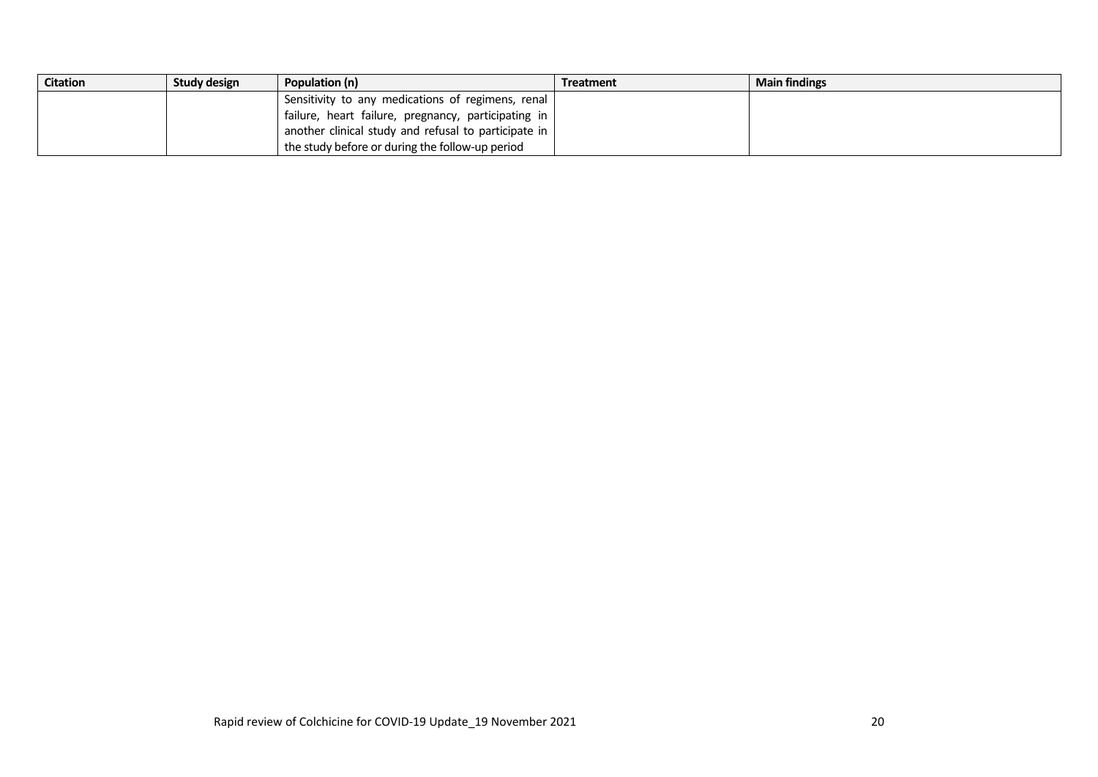| <b>Citation</b> | Study design | Population (n)                                               | Treatment | <b>Main findings</b> |
|-----------------|--------------|--------------------------------------------------------------|-----------|----------------------|
|                 |              | Sensitivity to any medications of regimens, renal            |           |                      |
|                 |              | failure, heart failure, pregnancy, participating in          |           |                      |
|                 |              | another clinical study and refusal to participate in $\vert$ |           |                      |
|                 |              | the study before or during the follow-up period              |           |                      |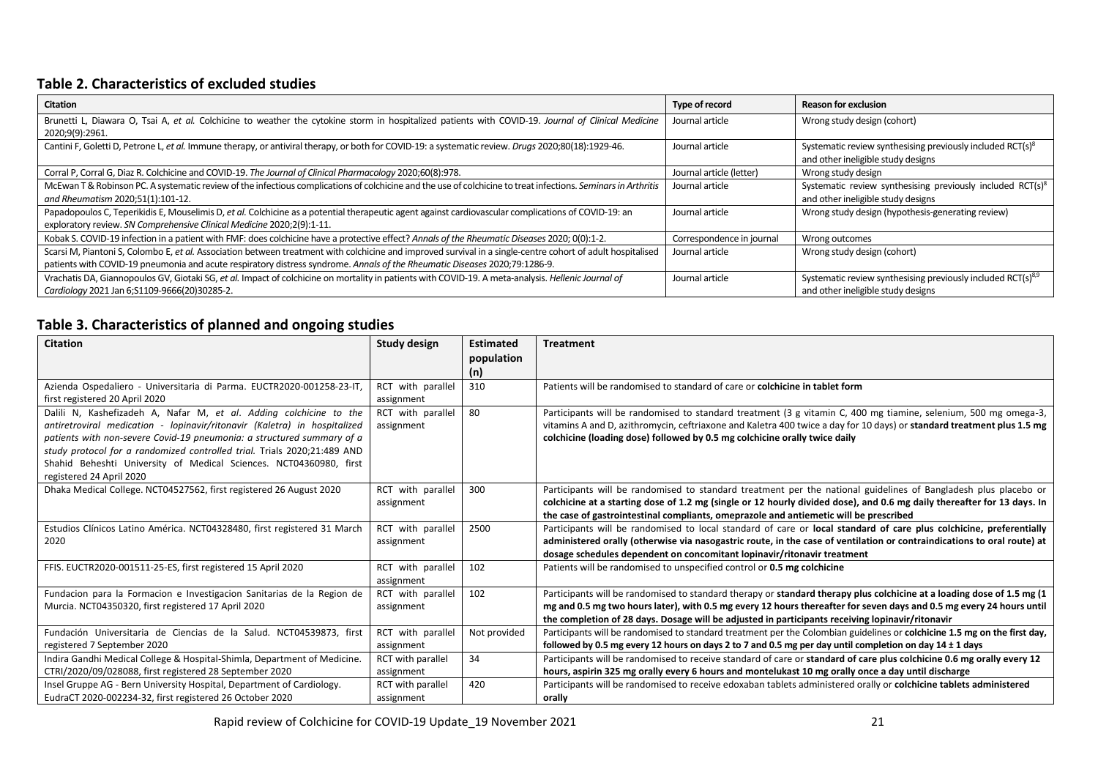## **Table 2. Characteristics of excluded studies**

| <b>Citation</b>                                                                                                                                                        | Type of record            | <b>Reason for exclusion</b>                                                                                  |
|------------------------------------------------------------------------------------------------------------------------------------------------------------------------|---------------------------|--------------------------------------------------------------------------------------------------------------|
| Brunetti L, Diawara O, Tsai A, et al. Colchicine to weather the cytokine storm in hospitalized patients with COVID-19. Journal of Clinical Medicine<br>2020;9(9):2961. | Journal article           | Wrong study design (cohort)                                                                                  |
| Cantini F, Goletti D, Petrone L, et al. Immune therapy, or antiviral therapy, or both for COVID-19: a systematic review. Drugs 2020;80(18):1929-46.                    | Journal article           | Systematic review synthesising previously included RCT(s) <sup>8</sup><br>and other ineligible study designs |
| Corral P, Corral G, Diaz R. Colchicine and COVID-19. The Journal of Clinical Pharmacology 2020;60(8):978.                                                              | Journal article (letter)  | Wrong study design                                                                                           |
| McEwan T & Robinson PC. A systematic review of the infectious complications of colchicine and the use of colchicine to treat infections. Seminars in Arthritis         | Journal article           | Systematic review synthesising previously included RCT(s) <sup>8</sup>                                       |
| and Rheumatism 2020;51(1):101-12.                                                                                                                                      |                           | and other ineligible study designs                                                                           |
| Papadopoulos C, Teperikidis E, Mouselimis D, et al. Colchicine as a potential therapeutic agent against cardiovascular complications of COVID-19: an                   | Journal article           | Wrong study design (hypothesis-generating review)                                                            |
| exploratory review. SN Comprehensive Clinical Medicine 2020;2(9):1-11.                                                                                                 |                           |                                                                                                              |
| Kobak S. COVID-19 infection in a patient with FMF: does colchicine have a protective effect? Annals of the Rheumatic Diseases 2020; 0(0):1-2.                          | Correspondence in journal | Wrong outcomes                                                                                               |
| Scarsi M, Piantoni S, Colombo E, et al. Association between treatment with colchicine and improved survival in a single-centre cohort of adult hospitalised            | Journal article           | Wrong study design (cohort)                                                                                  |
| patients with COVID-19 pneumonia and acute respiratory distress syndrome. Annals of the Rheumatic Diseases 2020;79:1286-9.                                             |                           |                                                                                                              |
| Vrachatis DA, Giannopoulos GV, Giotaki SG, et al. Impact of colchicine on mortality in patients with COVID-19. A meta-analysis. Hellenic Journal of                    | Journal article           | Systematic review synthesising previously included RCT( $s$ ) <sup>8,9</sup>                                 |
| Cardiology 2021 Jan 6; S1109-9666(20)30285-2.                                                                                                                          |                           | and other ineligible study designs                                                                           |

## **Table 3. Characteristics of planned and ongoing studies**

| <b>Citation</b>                                                                                                                                                                                                                                                                                                                                                                                         | <b>Study design</b>                    | <b>Estimated</b>  | <b>Treatment</b>                                                                                                                                                                                                                                                                                                                                   |
|---------------------------------------------------------------------------------------------------------------------------------------------------------------------------------------------------------------------------------------------------------------------------------------------------------------------------------------------------------------------------------------------------------|----------------------------------------|-------------------|----------------------------------------------------------------------------------------------------------------------------------------------------------------------------------------------------------------------------------------------------------------------------------------------------------------------------------------------------|
|                                                                                                                                                                                                                                                                                                                                                                                                         |                                        | population<br>(n) |                                                                                                                                                                                                                                                                                                                                                    |
| Azienda Ospedaliero - Universitaria di Parma. EUCTR2020-001258-23-IT,<br>first registered 20 April 2020                                                                                                                                                                                                                                                                                                 | RCT with parallel<br>assignment        | 310               | Patients will be randomised to standard of care or colchicine in tablet form                                                                                                                                                                                                                                                                       |
| Dalili N, Kashefizadeh A, Nafar M, et al. Adding colchicine to the<br>antiretroviral medication - lopinavir/ritonavir (Kaletra) in hospitalized<br>patients with non-severe Covid-19 pneumonia: a structured summary of a<br>study protocol for a randomized controlled trial. Trials 2020;21:489 AND<br>Shahid Beheshti University of Medical Sciences. NCT04360980, first<br>registered 24 April 2020 | RCT with parallel<br>assignment        | 80                | Participants will be randomised to standard treatment (3 g vitamin C, 400 mg tiamine, selenium, 500 mg omega-3,<br>vitamins A and D, azithromycin, ceftriaxone and Kaletra 400 twice a day for 10 days) or standard treatment plus 1.5 mg<br>colchicine (loading dose) followed by 0.5 mg colchicine orally twice daily                            |
| Dhaka Medical College. NCT04527562, first registered 26 August 2020                                                                                                                                                                                                                                                                                                                                     | RCT with parallel<br>assignment        | 300               | Participants will be randomised to standard treatment per the national guidelines of Bangladesh plus placebo or<br>colchicine at a starting dose of 1.2 mg (single or 12 hourly divided dose), and 0.6 mg daily thereafter for 13 days. In<br>the case of gastrointestinal compliants, omeprazole and antiemetic will be prescribed                |
| Estudios Clínicos Latino América. NCT04328480, first registered 31 March<br>2020                                                                                                                                                                                                                                                                                                                        | RCT with parallel<br>assignment        | 2500              | Participants will be randomised to local standard of care or local standard of care plus colchicine, preferentially<br>administered orally (otherwise via nasogastric route, in the case of ventilation or contraindications to oral route) at<br>dosage schedules dependent on concomitant lopinavir/ritonavir treatment                          |
| FFIS. EUCTR2020-001511-25-ES, first registered 15 April 2020                                                                                                                                                                                                                                                                                                                                            | RCT with parallel<br>assignment        | 102               | Patients will be randomised to unspecified control or 0.5 mg colchicine                                                                                                                                                                                                                                                                            |
| Fundacion para la Formacion e Investigacion Sanitarias de la Region de<br>Murcia. NCT04350320, first registered 17 April 2020                                                                                                                                                                                                                                                                           | RCT with parallel<br>assignment        | 102               | Participants will be randomised to standard therapy or standard therapy plus colchicine at a loading dose of 1.5 mg (1<br>mg and 0.5 mg two hours later), with 0.5 mg every 12 hours thereafter for seven days and 0.5 mg every 24 hours until<br>the completion of 28 days. Dosage will be adjusted in participants receiving lopinavir/ritonavir |
| Fundación Universitaria de Ciencias de la Salud. NCT04539873, first<br>registered 7 September 2020                                                                                                                                                                                                                                                                                                      | RCT with parallel<br>assignment        | Not provided      | Participants will be randomised to standard treatment per the Colombian guidelines or colchicine 1.5 mg on the first day,<br>followed by 0.5 mg every 12 hours on days 2 to 7 and 0.5 mg per day until completion on day 14 $\pm$ 1 days                                                                                                           |
| Indira Gandhi Medical College & Hospital-Shimla, Department of Medicine.<br>CTRI/2020/09/028088, first registered 28 September 2020                                                                                                                                                                                                                                                                     | <b>RCT</b> with parallel<br>assignment | 34                | Participants will be randomised to receive standard of care or standard of care plus colchicine 0.6 mg orally every 12<br>hours, aspirin 325 mg orally every 6 hours and montelukast 10 mg orally once a day until discharge                                                                                                                       |
| Insel Gruppe AG - Bern University Hospital, Department of Cardiology.<br>EudraCT 2020-002234-32, first registered 26 October 2020                                                                                                                                                                                                                                                                       | RCT with parallel<br>assignment        | 420               | Participants will be randomised to receive edoxaban tablets administered orally or colchicine tablets administered<br>orally                                                                                                                                                                                                                       |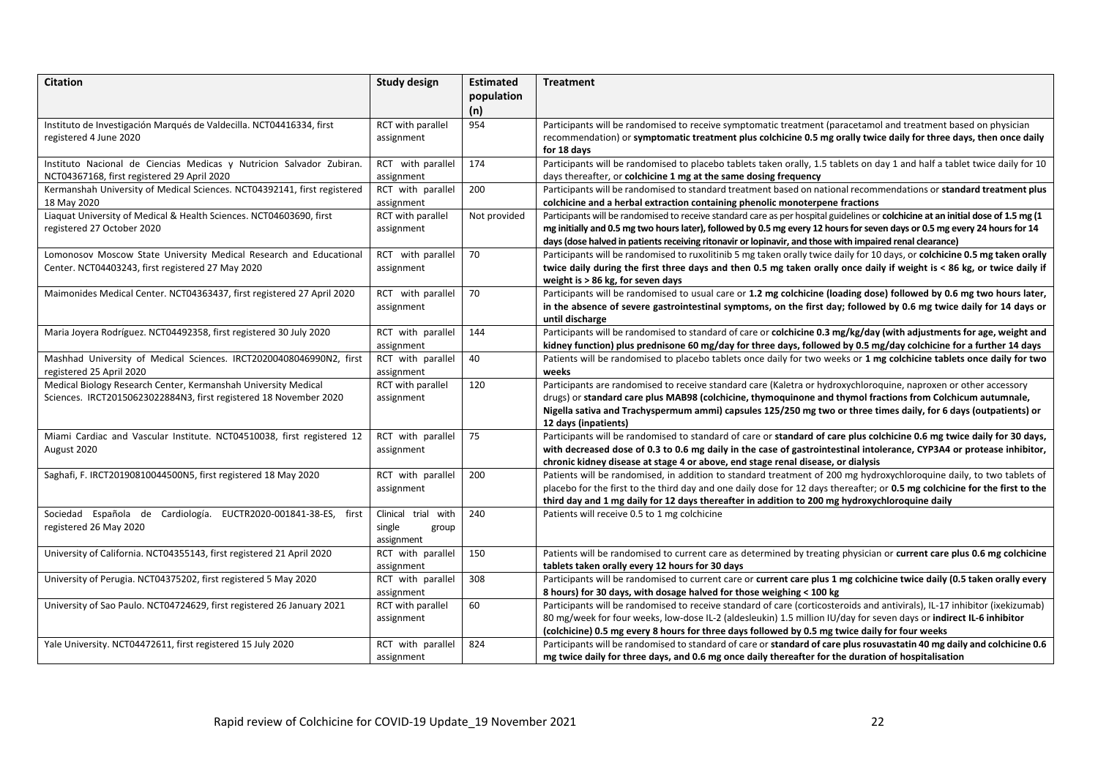| <b>Citation</b>                                                                                                                     | <b>Study design</b>                                  | <b>Estimated</b><br>population | <b>Treatment</b>                                                                                                                                                                                                                                                                                                                                                            |
|-------------------------------------------------------------------------------------------------------------------------------------|------------------------------------------------------|--------------------------------|-----------------------------------------------------------------------------------------------------------------------------------------------------------------------------------------------------------------------------------------------------------------------------------------------------------------------------------------------------------------------------|
| Instituto de Investigación Marqués de Valdecilla. NCT04416334, first<br>registered 4 June 2020                                      | RCT with parallel<br>assignment                      | (n)<br>954                     | Participants will be randomised to receive symptomatic treatment (paracetamol and treatment based on physician<br>recommendation) or symptomatic treatment plus colchicine 0.5 mg orally twice daily for three days, then once daily<br>for 18 days                                                                                                                         |
| Instituto Nacional de Ciencias Medicas y Nutricion Salvador Zubiran.<br>NCT04367168, first registered 29 April 2020                 | RCT with parallel<br>assignment                      | 174                            | Participants will be randomised to placebo tablets taken orally, 1.5 tablets on day 1 and half a tablet twice daily for 10<br>days thereafter, or colchicine 1 mg at the same dosing frequency                                                                                                                                                                              |
| Kermanshah University of Medical Sciences. NCT04392141, first registered<br>18 May 2020                                             | RCT with parallel<br>assignment                      | 200                            | Participants will be randomised to standard treatment based on national recommendations or standard treatment plus<br>colchicine and a herbal extraction containing phenolic monoterpene fractions                                                                                                                                                                          |
| Liaquat University of Medical & Health Sciences. NCT04603690, first<br>registered 27 October 2020                                   | RCT with parallel<br>assignment                      | Not provided                   | Participants will be randomised to receive standard care as per hospital guidelines or colchicine at an initial dose of 1.5 mg (1<br>mg initially and 0.5 mg two hours later), followed by 0.5 mg every 12 hours for seven days or 0.5 mg every 24 hours for 14<br>days (dose halved in patients receiving ritonavir or lopinavir, and those with impaired renal clearance) |
| Lomonosov Moscow State University Medical Research and Educational<br>Center. NCT04403243, first registered 27 May 2020             | RCT with parallel<br>assignment                      | 70                             | Participants will be randomised to ruxolitinib 5 mg taken orally twice daily for 10 days, or colchicine 0.5 mg taken orally<br>twice daily during the first three days and then 0.5 mg taken orally once daily if weight is < 86 kg, or twice daily if<br>weight is > 86 kg, for seven days                                                                                 |
| Maimonides Medical Center. NCT04363437, first registered 27 April 2020                                                              | RCT with parallel<br>assignment                      | 70                             | Participants will be randomised to usual care or 1.2 mg colchicine (loading dose) followed by 0.6 mg two hours later,<br>in the absence of severe gastrointestinal symptoms, on the first day; followed by 0.6 mg twice daily for 14 days or<br>until discharge                                                                                                             |
| Maria Joyera Rodríguez. NCT04492358, first registered 30 July 2020                                                                  | RCT with parallel<br>assignment                      | 144                            | Participants will be randomised to standard of care or colchicine 0.3 mg/kg/day (with adjustments for age, weight and<br>kidney function) plus prednisone 60 mg/day for three days, followed by 0.5 mg/day colchicine for a further 14 days                                                                                                                                 |
| Mashhad University of Medical Sciences. IRCT20200408046990N2, first<br>registered 25 April 2020                                     | RCT with parallel<br>assignment                      | 40                             | Patients will be randomised to placebo tablets once daily for two weeks or 1 mg colchicine tablets once daily for two<br>weeks                                                                                                                                                                                                                                              |
| Medical Biology Research Center, Kermanshah University Medical<br>Sciences. IRCT20150623022884N3, first registered 18 November 2020 | RCT with parallel<br>assignment                      | 120                            | Participants are randomised to receive standard care (Kaletra or hydroxychloroquine, naproxen or other accessory<br>drugs) or standard care plus MAB98 (colchicine, thymoquinone and thymol fractions from Colchicum autumnale,<br>Nigella sativa and Trachyspermum ammi) capsules 125/250 mg two or three times daily, for 6 days (outpatients) or<br>12 days (inpatients) |
| Miami Cardiac and Vascular Institute. NCT04510038, first registered 12<br>August 2020                                               | RCT with parallel<br>assignment                      | 75                             | Participants will be randomised to standard of care or standard of care plus colchicine 0.6 mg twice daily for 30 days,<br>with decreased dose of 0.3 to 0.6 mg daily in the case of gastrointestinal intolerance, CYP3A4 or protease inhibitor,<br>chronic kidney disease at stage 4 or above, end stage renal disease, or dialysis                                        |
| Saghafi, F. IRCT20190810044500N5, first registered 18 May 2020                                                                      | RCT with parallel<br>assignment                      | 200                            | Patients will be randomised, in addition to standard treatment of 200 mg hydroxychloroquine daily, to two tablets of<br>placebo for the first to the third day and one daily dose for 12 days thereafter; or 0.5 mg colchicine for the first to the<br>third day and 1 mg daily for 12 days thereafter in addition to 200 mg hydroxychloroquine daily                       |
| Sociedad Española de Cardiología. EUCTR2020-001841-38-ES,<br>first<br>registered 26 May 2020                                        | Clinical trial with<br>single<br>group<br>assignment | 240                            | Patients will receive 0.5 to 1 mg colchicine                                                                                                                                                                                                                                                                                                                                |
| University of California. NCT04355143, first registered 21 April 2020                                                               | RCT with parallel<br>assignment                      | 150                            | Patients will be randomised to current care as determined by treating physician or current care plus 0.6 mg colchicine<br>tablets taken orally every 12 hours for 30 days                                                                                                                                                                                                   |
| University of Perugia. NCT04375202, first registered 5 May 2020                                                                     | RCT with parallel<br>assignment                      | 308                            | Participants will be randomised to current care or current care plus 1 mg colchicine twice daily (0.5 taken orally every<br>8 hours) for 30 days, with dosage halved for those weighing < 100 kg                                                                                                                                                                            |
| University of Sao Paulo. NCT04724629, first registered 26 January 2021                                                              | RCT with parallel<br>assignment                      | 60                             | Participants will be randomised to receive standard of care (corticosteroids and antivirals), IL-17 inhibitor (ixekizumab)<br>80 mg/week for four weeks, low-dose IL-2 (aldesleukin) 1.5 million IU/day for seven days or indirect IL-6 inhibitor<br>(colchicine) 0.5 mg every 8 hours for three days followed by 0.5 mg twice daily for four weeks                         |
| Yale University. NCT04472611, first registered 15 July 2020                                                                         | RCT with parallel<br>assignment                      | 824                            | Participants will be randomised to standard of care or standard of care plus rosuvastatin 40 mg daily and colchicine 0.6<br>mg twice daily for three days, and 0.6 mg once daily thereafter for the duration of hospitalisation                                                                                                                                             |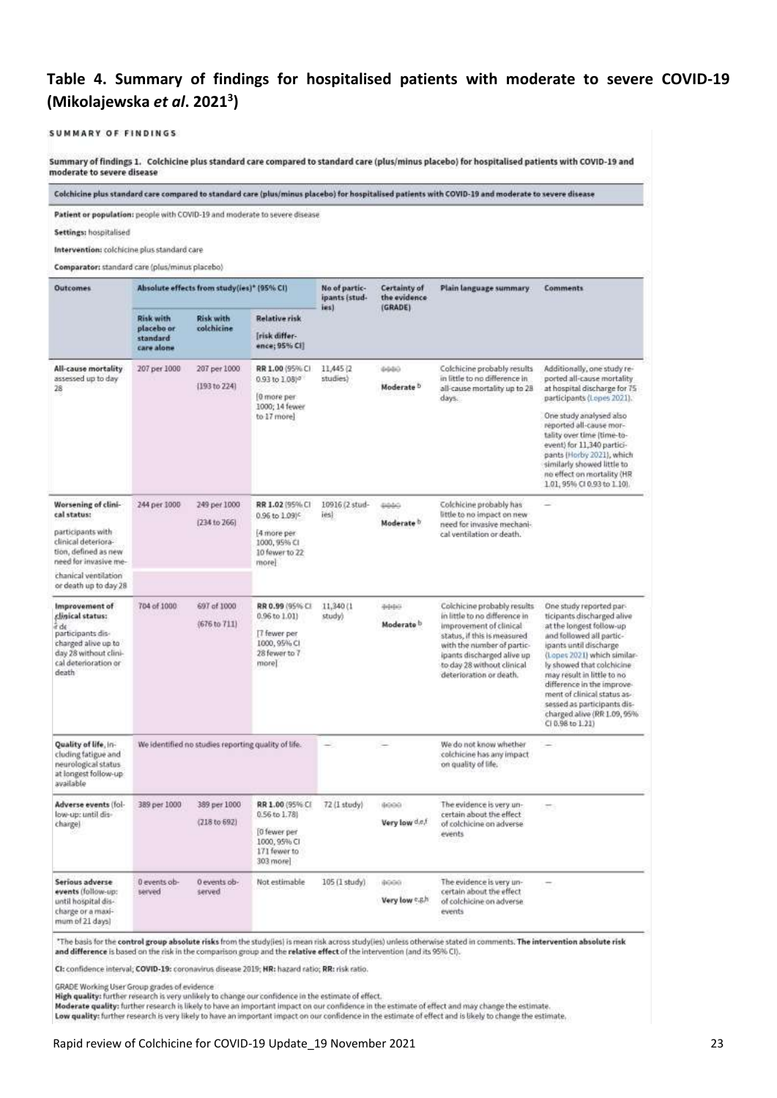# <span id="page-22-0"></span>**Table 4. Summary of findings for hospitalised patients with moderate to severe COVID-19 (Mikolajewska** *et al***. 2021<sup>3</sup> )**

#### SUMMARY OF FINDINGS

Summary of findings 1. Colchicine plus standard care compared to standard care (plus/minus placebo) for hospitalised patients with COVID-19 and moderate to severe disease

Colchicine plus standard care compared to standard care (plus/minus placebo) for hospitalised patients with COVID-19 and moderate to severe disease

Patient or population: people with COVID-19 and moderate to severe disease

Settings: hospitalised

Intervention: colchicine plus standard care

Comparation standard cars following a confer-

| <b>Outcomes</b>                                                                                                                                                 |                                                   | Absolute effects from study(ies)* (95% CI)          |                                                                                                                                                                                                                                        | No of partic-<br>ipants (stud-<br>ies) | Certainty of<br>the evidence<br>(GRADE) | Plain language summary.                                                                                                                                                                                                                     | Comments:                                                                                                                                                                                                                                                                                                                                                                        |
|-----------------------------------------------------------------------------------------------------------------------------------------------------------------|---------------------------------------------------|-----------------------------------------------------|----------------------------------------------------------------------------------------------------------------------------------------------------------------------------------------------------------------------------------------|----------------------------------------|-----------------------------------------|---------------------------------------------------------------------------------------------------------------------------------------------------------------------------------------------------------------------------------------------|----------------------------------------------------------------------------------------------------------------------------------------------------------------------------------------------------------------------------------------------------------------------------------------------------------------------------------------------------------------------------------|
|                                                                                                                                                                 | Risk with<br>placebo or<br>standard<br>care alone | <b>Risk with</b><br>colchicine                      | <b>Relative risk</b><br>[risk differ-<br>ence; 95% Ci]                                                                                                                                                                                 |                                        |                                         |                                                                                                                                                                                                                                             |                                                                                                                                                                                                                                                                                                                                                                                  |
| All-cause mortality<br>assessed up to day<br>28                                                                                                                 | 207 per 1000                                      | 207 per 1000<br>(193 to 224)                        | RR 1.00 (95% C)<br>0.93 to 1.08%<br>[0 more per<br>1000; 14 fewer                                                                                                                                                                      | 11,445 (2)<br>studies)                 | 0444<br>Moderate <sup>b</sup>           | Colchicine probably results<br>in little to no difference in<br>all-cause mortality up to 28<br>days.                                                                                                                                       | Additionally, one study re-<br>ported all-cause mortality<br>at hospital discharge for 75<br>participants (Lopes 2021).                                                                                                                                                                                                                                                          |
|                                                                                                                                                                 | to 17 more)                                       |                                                     | One study analysed also<br>reported all-cause mor-<br>tality over time (time-to-<br>event) for 11,340 partici-<br>pants (Horby 2021), which<br>similarly showed little to<br>no effect on mortality (HR<br>1.01, 95% CI 0.93 to 1.10). |                                        |                                         |                                                                                                                                                                                                                                             |                                                                                                                                                                                                                                                                                                                                                                                  |
| Worsening of clini-<br>cal status:                                                                                                                              | 244 per 1000                                      | 249 per 1000                                        | RR 1.02 (95% CI)<br>0.96 to 1.09 <sup>c</sup>                                                                                                                                                                                          | 10916 (2 stud-<br>ies)                 | 0440                                    | Colchicine probably has<br>little to no impact on new                                                                                                                                                                                       | œ                                                                                                                                                                                                                                                                                                                                                                                |
| participants with                                                                                                                                               |                                                   | (234 to 266)                                        | [4 more per                                                                                                                                                                                                                            |                                        | Moderate <sup>b</sup>                   | need for invasive mechani-<br>cal ventilation or death.                                                                                                                                                                                     |                                                                                                                                                                                                                                                                                                                                                                                  |
| clinical deteriora-<br>tion, defined as new<br>need for invasive me-                                                                                            |                                                   |                                                     | 1000, 95% CI<br>10 fewer to 22<br>more                                                                                                                                                                                                 |                                        |                                         |                                                                                                                                                                                                                                             |                                                                                                                                                                                                                                                                                                                                                                                  |
| chanical ventilation<br>or death up to day 28                                                                                                                   |                                                   |                                                     |                                                                                                                                                                                                                                        |                                        |                                         |                                                                                                                                                                                                                                             |                                                                                                                                                                                                                                                                                                                                                                                  |
| Improvement of<br>clinical status:<br>$\hat{\epsilon}$ de<br>participants dis-<br>charged alive up to<br>day 28 without clini-<br>cal deterioration or<br>death | 704 of 1000                                       | 697 of 1000<br>(676 to 711)                         | RR 0.99 (95% CI<br>0.96 to 1.01)<br>[7 fewer per<br>1000, 95% CI<br>28 fewer to 7<br>more]                                                                                                                                             | 11,340 (1)<br>study)                   | addici<br>Moderate b                    | Colchicine probably results<br>in little to no difference in<br>improvement of clinical<br>status, if this is measured<br>with the number of partic-<br>ipants discharged alive up<br>to day 28 without clinical<br>deterioration or death. | One study reported par-<br>ticipants discharged alive<br>at the longest follow-up<br>and followed all partic-<br>ipants until discharge<br>(Lopes 2021) which similar-<br>ly showed that colchicine<br>may result in little to no<br>difference in the improve-<br>ment of clinical status as-<br>sessed as participants dis-<br>charged alive (RR 1.09, 95%<br>CI 0.98 to 1.21) |
| Quality of life, in-<br>cluding fatigue and<br>neurological status<br>at longest follow-up<br>available                                                         |                                                   | We identified no studies reporting quality of life. |                                                                                                                                                                                                                                        |                                        |                                         | We do not know whether<br>colchicine has any impact<br>on quality of life.                                                                                                                                                                  | -                                                                                                                                                                                                                                                                                                                                                                                |
| Adverse events (fol-<br>low-up: until dis-                                                                                                                      | 389 per 1000                                      | 389 per 1000                                        | RR 1.00 (95% CI<br>0.56 to 1.78)                                                                                                                                                                                                       | 72 (1 study)                           | 6000                                    | The evidence is very un-<br>certain about the effect                                                                                                                                                                                        | ÷.                                                                                                                                                                                                                                                                                                                                                                               |
| charge)                                                                                                                                                         |                                                   | (218 to 692)                                        | [0 fewer per<br>1000, 95% CI<br>171 fewer to<br>303 more]                                                                                                                                                                              |                                        | Very low def                            | of colchicine on adverse<br>events                                                                                                                                                                                                          |                                                                                                                                                                                                                                                                                                                                                                                  |
| Serious adverse<br>events (follow-up:<br>until hospital dis-<br>charge or a maxi-<br>mum of 21 days)                                                            | 0 events ob-<br>served                            | 0 events ob-<br>served                              | Not estimable                                                                                                                                                                                                                          | 105 (1 study)                          | 8000<br>Very low e.g.h                  | The evidence is very un-<br>certain about the effect<br>of colchicine on adverse<br>events                                                                                                                                                  |                                                                                                                                                                                                                                                                                                                                                                                  |

"The basis for the control group absolute risks from the study[les] is mean risk across study[les] unless otherwise stated in comments. The intervention absolute risk and difference is based on the risk in the comparison group and the relative effect of the intervention (and its 95% CI).

CI: confidence interval; COVID-19: coronavirus disease 2019; HR: hazard ratio; RR: risk ratio.

GRADE Working User Group grades of evidence

are the mail of the research is very unlikely to change our confidence in the estimate of effect.<br>Moderate quality: further research is likely to thange our confidence in the estimate of effect and may change the estimate.

Low quality: further research is very likely to have an important impact on our confidence in the estimate of effect and is likely to change the estimate.

#### Rapid review of Colchicine for COVID-19 Update 19 November 2021 23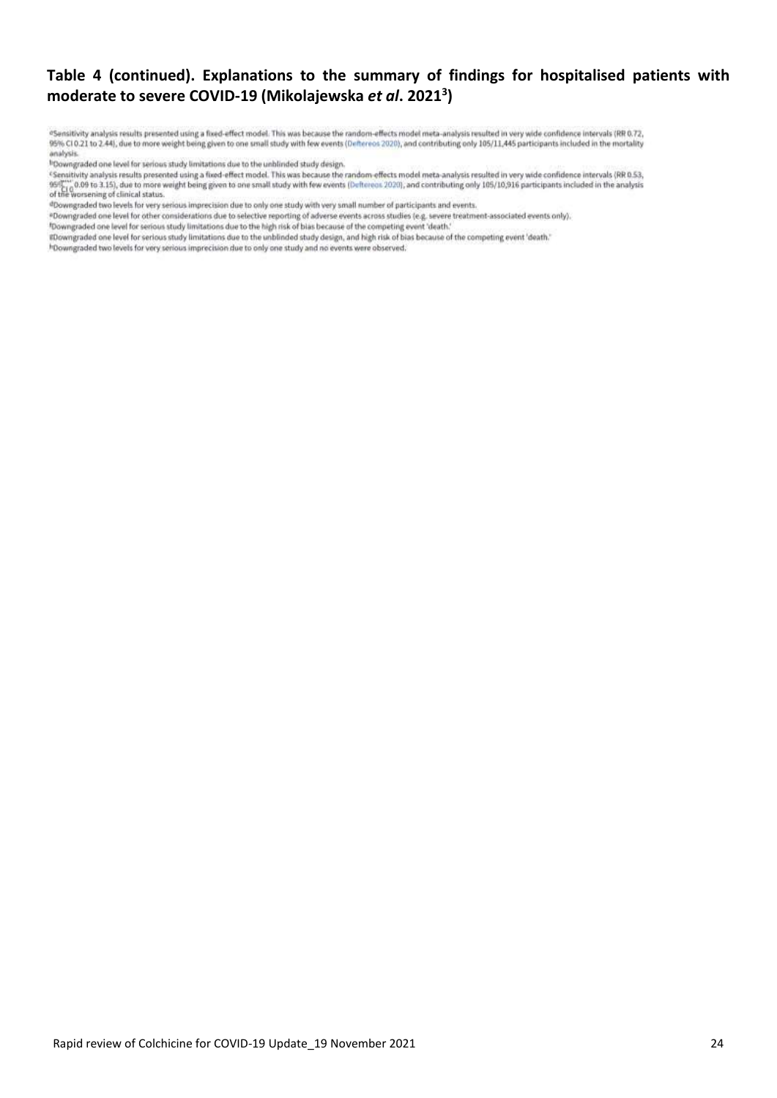# **Table 4 (continued). Explanations to the summary of findings for hospitalised patients with moderate to severe COVID-19 (Mikolajewska** *et al***. 2021<sup>3</sup> )**

<sup>a</sup>Sensitivity analysis results presented using a fixed-effect model. This was because the random-effects model meta-analysis resulted in very wide confidence intervals (RR 0.72,<br>95% CI 0.21 to 2.44), due to more weight be analysis.

<sup>1</sup>Downgraded one level for serious study limitations due to the unblinded study design.

<sup>e</sup>Sensitivity analysis results presented using a fixed-effect model. This was because the random-effects model meta-analysis resulted in very wide confidence intervals (RR 0.53, - sensitivity analysis results presented using a tixed-effect model. This was because the random-effects model meta-analysis resulted in very wide confidence intervals (MCD.55,<br>1997: [0.008 to 3.15], due to more weight bei

#Downgraded two levels for very serious imprecision due to only one study with very small number of participants and events.

\*Downgraded one level for other considerations due to selective reporting of adverse events across studies (e.g. severe treatment-associated events only).

\*Downgraded one level for serious study limitations due to the high risk of bias because of the competing event 'death.'

#Downgraded one level for serious study limitations due to the unblinded study design, and high risk of bias because of the competing event 'death."

<sup>h</sup>Downgraded two levels for very serious imprecision due to only one study and no events were observed.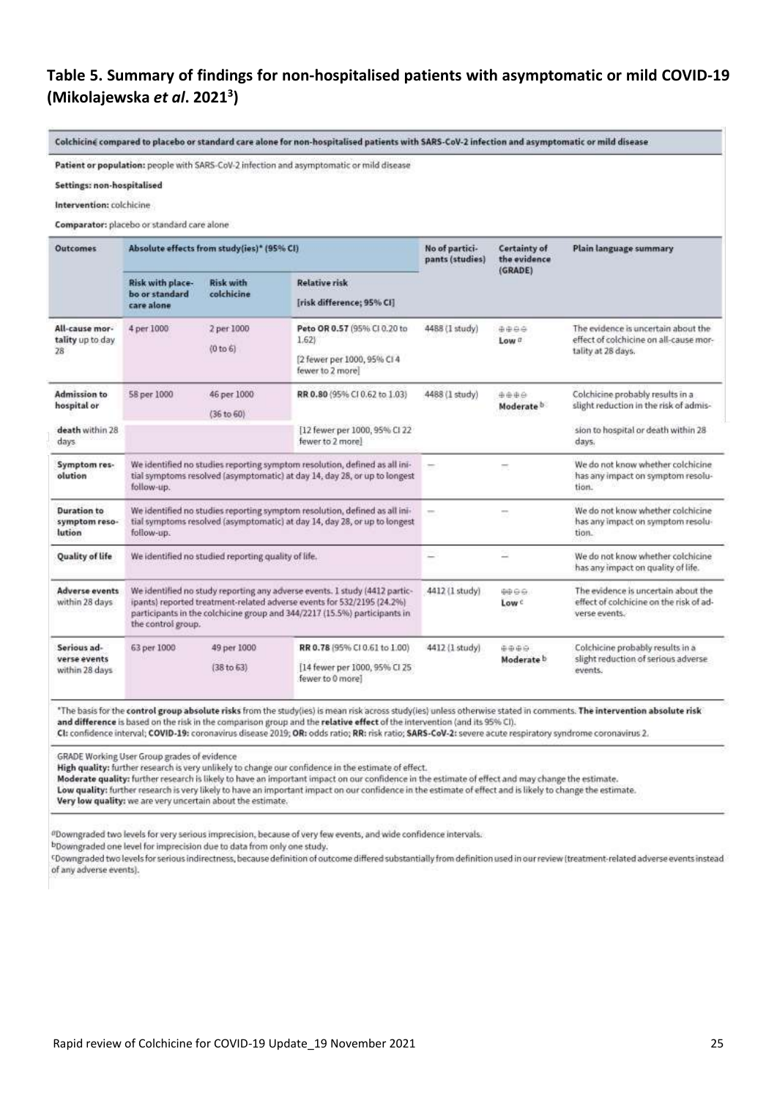# <span id="page-24-0"></span>**Table 5. Summary of findings for non-hospitalised patients with asymptomatic or mild COVID-19 (Mikolajewska** *et al***. 2021<sup>3</sup> )**

Colchicine compared to placebo or standard care alone for non-hospitalised patients with SARS-CoV-2 infection and asymptomatic or mild disease

Patient or population: people with SARS-CoV-2 infection and asymptomatic or mild disease

Settings: non-hospitalised

Intervention: colchicine

Comparator: placebo or standard care alone

| <b>Outcomes</b>                               |                                                  | Absolute effects from study(ies)* (95% CI)          |                                                                                                                                                                                                                                   | No of partici-<br>pants (studies) | Certainty of<br>the evidence<br>(GRADE) | Plain language summary                                                                              |  |
|-----------------------------------------------|--------------------------------------------------|-----------------------------------------------------|-----------------------------------------------------------------------------------------------------------------------------------------------------------------------------------------------------------------------------------|-----------------------------------|-----------------------------------------|-----------------------------------------------------------------------------------------------------|--|
|                                               | Risk with place-<br>bo or standard<br>care alone | <b>Risk with</b><br>colchicine                      | <b>Relative risk</b><br>[risk difference; 95% CI]                                                                                                                                                                                 |                                   |                                         |                                                                                                     |  |
| All-cause mor-<br>tality up to day<br>28      | 4 per 1000                                       | 2 per 1000<br>(0 to 6)                              | Peto OR 0.57 (95% CI 0.20 to<br>1.621<br>[2 fewer per 1000, 95% CI 4<br>fewer to 2 more]                                                                                                                                          | 4488 (1 study)                    | 0000<br>Low <sub>a</sub>                | The evidence is uncertain about the<br>effect of colchicine on all-cause mor-<br>tality at 28 days. |  |
| <b>Admission to</b><br>hospital or            | 58 per 1000                                      | 46 per 1000<br>(36 to 60)                           | RR 0.80 (95% CI 0.62 to 1.03)                                                                                                                                                                                                     | 4488 (1 study)                    | 4446<br>Moderate <sup>b</sup>           | Colchicine probably results in a<br>slight reduction in the risk of admis-                          |  |
| death within 28<br>days.                      |                                                  |                                                     | [12 fewer per 1000, 95% CI 22<br>fewer to 2 more)                                                                                                                                                                                 |                                   |                                         | sion to hospital or death within 28<br>days.                                                        |  |
| Symptom res-<br>olution                       | follow-up.                                       |                                                     | We identified no studies reporting symptom resolution, defined as all ini-<br>tial symptoms resolved (asymptomatic) at day 14, day 28, or up to longest                                                                           | $\overline{\phantom{a}}$          |                                         | We do not know whether colchicine<br>has any impact on symptom resolu-<br>tion.                     |  |
| <b>Duration to</b><br>symptom reso-<br>lution | follow-up.                                       |                                                     | We identified no studies reporting symptom resolution, defined as all ini-<br>tial symptoms resolved (asymptomatic) at day 14, day 28, or up to longest                                                                           | $\sim$                            | $\sim$                                  | We do not know whether colchicine<br>has any impact on symptom resolu-<br>tion.                     |  |
| Quality of life                               |                                                  | We identified no studied reporting quality of life. |                                                                                                                                                                                                                                   | $-$                               |                                         | We do not know whether colchicine<br>has any impact on quality of life.                             |  |
| <b>Adverse events</b><br>within 28 days       | the control group.                               |                                                     | We identified no study reporting any adverse events. I study (4412 partic-<br>ipants) reported treatment-related adverse events for 532/2195 (24.2%)<br>participants in the colchicine group and 344/2217 (15.5%) participants in | 4412 (1 study)                    | <b>0000</b><br>$Low \in$                | The evidence is uncertain about the<br>effect of colchicine on the risk of ad-<br>verse events.     |  |
| Serious ad-<br>verse events<br>within 28 days | 63 per 1000                                      | 49 per 1000<br>(38 to 63)                           | RR 0.78 (95% CI 0.61 to 1.00)<br>[14 fewer per 1000, 95% CI 25]<br>fewer to 0 more]                                                                                                                                               | 4412 (1 study)                    | 中中中中<br>Moderate <b>b</b>               | Colchicine probably results in a<br>slight reduction of serious adverse<br>events.                  |  |

\*The basis for the control group absolute risks from the study(les) is mean risk across study(les) unless otherwise stated in comments. The intervention absolute risk and difference is based on the risk in the comparison group and the relative effect of the intervention (and its 95% CI).

CI: confidence interval; COVID-19: coronavirus disease 2019; OR: odds ratio; RR: risk ratio; SARS-CoV-2: severe acute respiratory syndrome coronavirus 2.

GRADE Working User Group grades of evidence

High quality: further research is very unlikely to change our confidence in the estimate of effect.

Moderate quality: further research is likely to have an important impact on our confidence in the estimate of effect and may change the estimate.

Low quality: further research is very likely to have an important impact on our confidence in the estimate of effect and is likely to change the estimate.

Very low quality: we are very uncertain about the estimate.

<sup>a</sup>Downgraded two levels for very serious imprecision, because of very few events, and wide confidence intervals.

bDowngraded one level for imprecision due to data from only one study.

<sup>c</sup>Downgraded two levels for serious indirectness, because definition of outcome differed substantially from definition used in our review (treatment-related adverse events instead of any adverse events).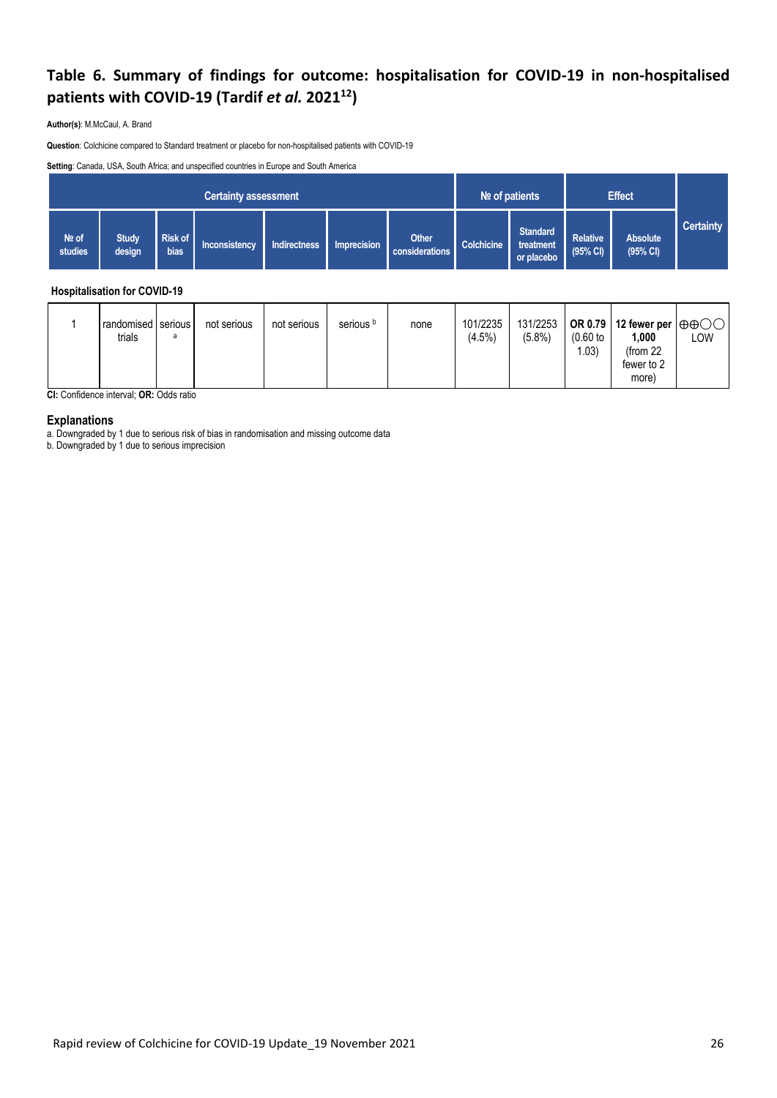# <span id="page-25-0"></span>**Table 6. Summary of findings for outcome: hospitalisation for COVID-19 in non-hospitalised patients with COVID-19 (Tardif** *et al.* **2021<sup>12</sup>)**

**Author(s)**: M.McCaul, A. Brand

**Question**: Colchicine compared to Standard treatment or placebo for non-hospitalised patients with COVID-19

**Setting**: Canada, USA, South Africa; and unspecified countries in Europe and South America

| <b>Certainty assessment</b> |                        |                 |                      |              |             |                                | $N2$ of patients |                                            | <b>Effect</b>                         |                             |                  |
|-----------------------------|------------------------|-----------------|----------------------|--------------|-------------|--------------------------------|------------------|--------------------------------------------|---------------------------------------|-----------------------------|------------------|
| Nº of<br>studies            | <b>Study</b><br>design | Risk of<br>bias | <b>Inconsistency</b> | Indirectness | Imprecision | <b>Other</b><br>considerations | Colchicine       | <b>Standard</b><br>treatment<br>or placebo | <b>Relative</b><br>$(95% \text{ Cl})$ | <b>Absolute</b><br>(95% CI) | <b>Certainty</b> |

#### **Hospitalisation for COVID-19**

|  | randomised serious<br>trials | not serious | not serious | serious <sup>b</sup> | none | 101/2235<br>$(4.5\%)$ | $(5.8\%)$ | $(0.60)$ to<br>.03) | 131/2253   OR 0.79   12 fewer per $ \oplus \oplus \bigcirc \bigcirc $<br>1,000<br>(from 22<br>fewer to 2 | LOW |
|--|------------------------------|-------------|-------------|----------------------|------|-----------------------|-----------|---------------------|----------------------------------------------------------------------------------------------------------|-----|
|  |                              |             |             |                      |      |                       |           |                     | more)                                                                                                    |     |

**CI:** Confidence interval; **OR:** Odds ratio

#### **Explanations**

a. Downgraded by 1 due to serious risk of bias in randomisation and missing outcome data

b. Downgraded by 1 due to serious imprecision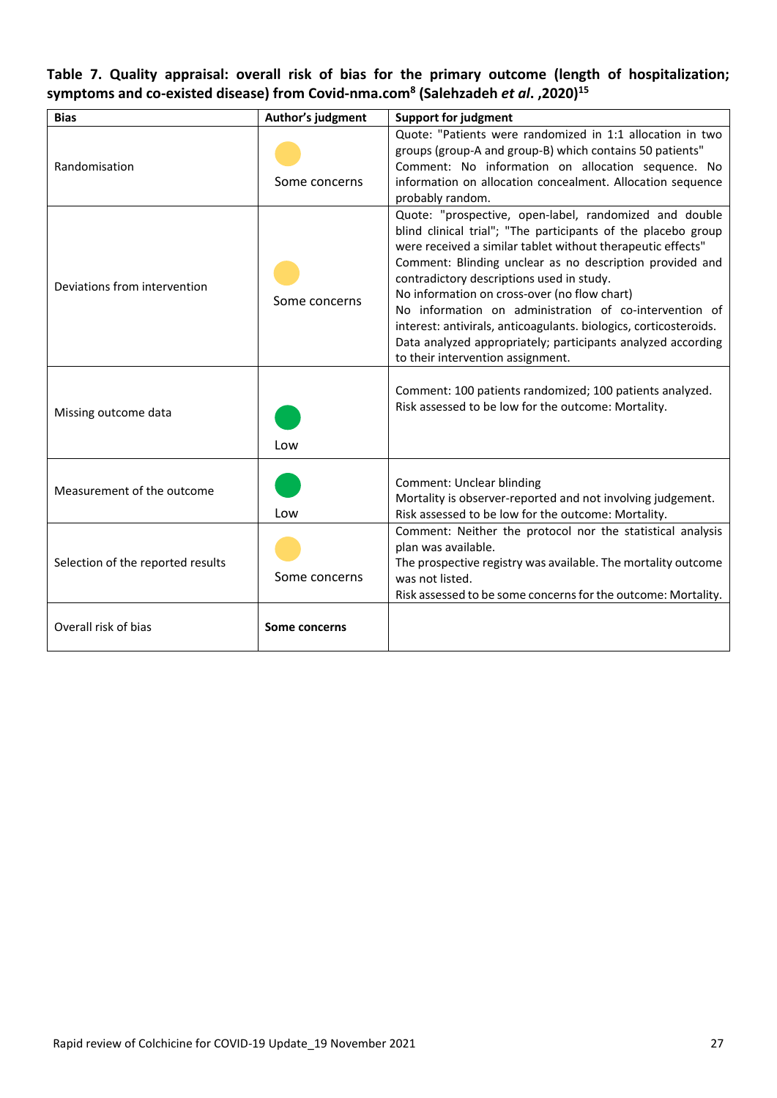# <span id="page-26-0"></span>**Table 7. Quality appraisal: overall risk of bias for the primary outcome (length of hospitalization; symptoms and co-existed disease) from Covid-nma.com<sup>8</sup> (Salehzadeh** *et al***. ,2020)<sup>15</sup>**

| <b>Bias</b>                       | Author's judgment | <b>Support for judgment</b>                                                                                                                                                                                                                                                                                                                                                                                                                                                                                                                                                         |
|-----------------------------------|-------------------|-------------------------------------------------------------------------------------------------------------------------------------------------------------------------------------------------------------------------------------------------------------------------------------------------------------------------------------------------------------------------------------------------------------------------------------------------------------------------------------------------------------------------------------------------------------------------------------|
| Randomisation                     | Some concerns     | Quote: "Patients were randomized in 1:1 allocation in two<br>groups (group-A and group-B) which contains 50 patients"<br>Comment: No information on allocation sequence. No<br>information on allocation concealment. Allocation sequence<br>probably random.                                                                                                                                                                                                                                                                                                                       |
| Deviations from intervention      | Some concerns     | Quote: "prospective, open-label, randomized and double<br>blind clinical trial"; "The participants of the placebo group<br>were received a similar tablet without therapeutic effects"<br>Comment: Blinding unclear as no description provided and<br>contradictory descriptions used in study.<br>No information on cross-over (no flow chart)<br>No information on administration of co-intervention of<br>interest: antivirals, anticoagulants. biologics, corticosteroids.<br>Data analyzed appropriately; participants analyzed according<br>to their intervention assignment. |
| Missing outcome data              | Low               | Comment: 100 patients randomized; 100 patients analyzed.<br>Risk assessed to be low for the outcome: Mortality.                                                                                                                                                                                                                                                                                                                                                                                                                                                                     |
| Measurement of the outcome        | Low               | Comment: Unclear blinding<br>Mortality is observer-reported and not involving judgement.<br>Risk assessed to be low for the outcome: Mortality.                                                                                                                                                                                                                                                                                                                                                                                                                                     |
| Selection of the reported results | Some concerns     | Comment: Neither the protocol nor the statistical analysis<br>plan was available.<br>The prospective registry was available. The mortality outcome<br>was not listed.<br>Risk assessed to be some concerns for the outcome: Mortality.                                                                                                                                                                                                                                                                                                                                              |
| Overall risk of bias              | Some concerns     |                                                                                                                                                                                                                                                                                                                                                                                                                                                                                                                                                                                     |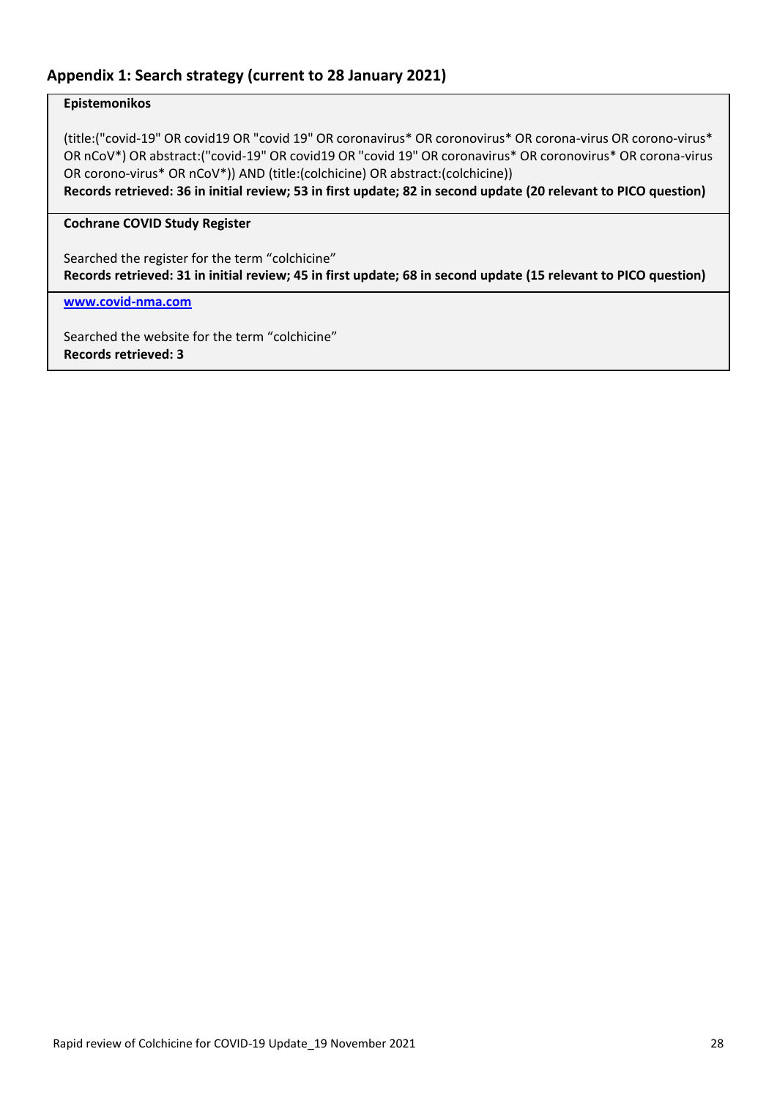## <span id="page-27-0"></span>**Appendix 1: Search strategy (current to 28 January 2021)**

#### **Epistemonikos**

(title:("covid-19" OR covid19 OR "covid 19" OR coronavirus\* OR coronovirus\* OR corona-virus OR corono-virus\* OR nCoV\*) OR abstract:("covid-19" OR covid19 OR "covid 19" OR coronavirus\* OR coronovirus\* OR corona-virus OR corono-virus\* OR nCoV\*)) AND (title:(colchicine) OR abstract:(colchicine))

**Records retrieved: 36 in initial review; 53 in first update; 82 in second update (20 relevant to PICO question)**

#### **Cochrane COVID Study Register**

Searched the register for the term "colchicine" **Records retrieved: 31 in initial review; 45 in first update; 68 in second update (15 relevant to PICO question)**

**[www.covid-nma.com](http://www.covid-nma.com/)**

Searched the website for the term "colchicine" **Records retrieved: 3**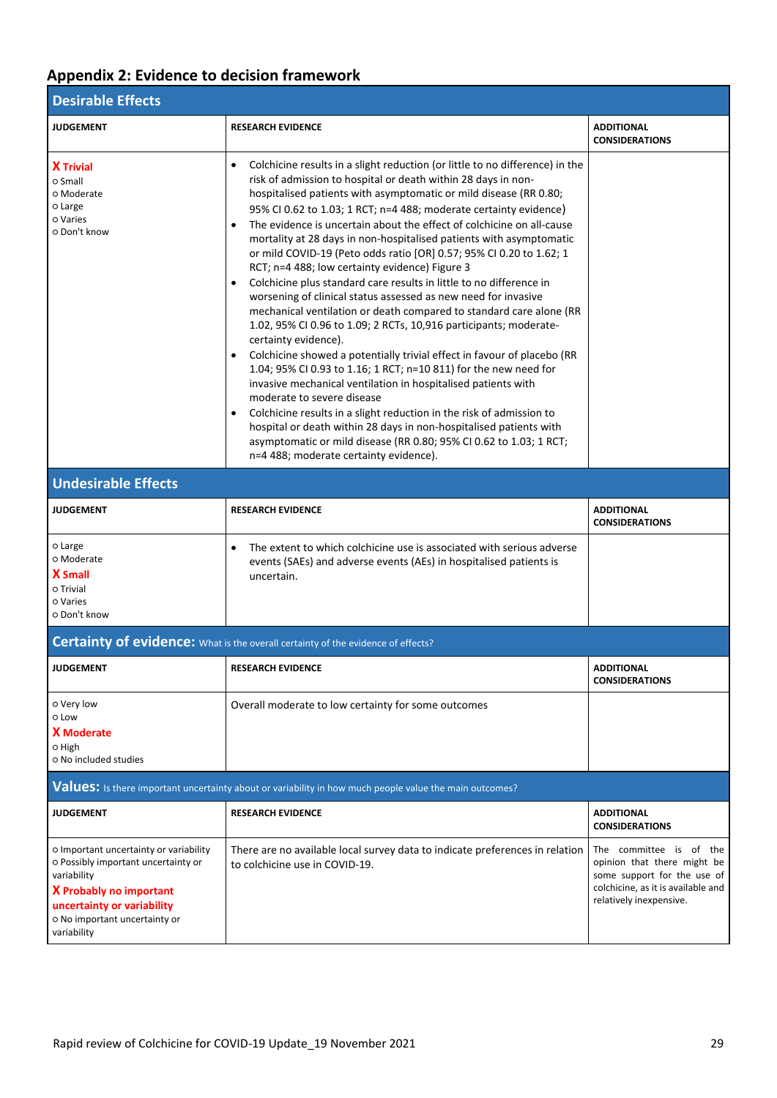# <span id="page-28-0"></span>**Appendix 2: Evidence to decision framework**

| <b>Desirable Effects</b>                                                                                                                                                                                     |                                                                                                                                                                                                                                                                                                                                                                                                                                                                                                                                                                                                                                                                                                                                                                                                                                                                                                                                                                                                                                                                                                                                                                                                                                                                                                                                                                                                                                               |                                                                                                                                                        |  |  |  |  |  |
|--------------------------------------------------------------------------------------------------------------------------------------------------------------------------------------------------------------|-----------------------------------------------------------------------------------------------------------------------------------------------------------------------------------------------------------------------------------------------------------------------------------------------------------------------------------------------------------------------------------------------------------------------------------------------------------------------------------------------------------------------------------------------------------------------------------------------------------------------------------------------------------------------------------------------------------------------------------------------------------------------------------------------------------------------------------------------------------------------------------------------------------------------------------------------------------------------------------------------------------------------------------------------------------------------------------------------------------------------------------------------------------------------------------------------------------------------------------------------------------------------------------------------------------------------------------------------------------------------------------------------------------------------------------------------|--------------------------------------------------------------------------------------------------------------------------------------------------------|--|--|--|--|--|
| <b>JUDGEMENT</b>                                                                                                                                                                                             | <b>RESEARCH EVIDENCE</b>                                                                                                                                                                                                                                                                                                                                                                                                                                                                                                                                                                                                                                                                                                                                                                                                                                                                                                                                                                                                                                                                                                                                                                                                                                                                                                                                                                                                                      | <b>ADDITIONAL</b><br><b>CONSIDERATIONS</b>                                                                                                             |  |  |  |  |  |
| <b>X</b> Trivial<br>o Small<br>o Moderate<br>o Large<br>o Varies<br>O Don't know                                                                                                                             | Colchicine results in a slight reduction (or little to no difference) in the<br>$\bullet$<br>risk of admission to hospital or death within 28 days in non-<br>hospitalised patients with asymptomatic or mild disease (RR 0.80;<br>95% CI 0.62 to 1.03; 1 RCT; n=4 488; moderate certainty evidence)<br>The evidence is uncertain about the effect of colchicine on all-cause<br>$\bullet$<br>mortality at 28 days in non-hospitalised patients with asymptomatic<br>or mild COVID-19 (Peto odds ratio [OR] 0.57; 95% CI 0.20 to 1.62; 1<br>RCT; n=4 488; low certainty evidence) Figure 3<br>Colchicine plus standard care results in little to no difference in<br>$\bullet$<br>worsening of clinical status assessed as new need for invasive<br>mechanical ventilation or death compared to standard care alone (RR<br>1.02, 95% CI 0.96 to 1.09; 2 RCTs, 10,916 participants; moderate-<br>certainty evidence).<br>Colchicine showed a potentially trivial effect in favour of placebo (RR<br>1.04; 95% CI 0.93 to 1.16; 1 RCT; n=10 811) for the new need for<br>invasive mechanical ventilation in hospitalised patients with<br>moderate to severe disease<br>Colchicine results in a slight reduction in the risk of admission to<br>$\bullet$<br>hospital or death within 28 days in non-hospitalised patients with<br>asymptomatic or mild disease (RR 0.80; 95% CI 0.62 to 1.03; 1 RCT;<br>n=4 488; moderate certainty evidence). |                                                                                                                                                        |  |  |  |  |  |
| <b>Undesirable Effects</b>                                                                                                                                                                                   |                                                                                                                                                                                                                                                                                                                                                                                                                                                                                                                                                                                                                                                                                                                                                                                                                                                                                                                                                                                                                                                                                                                                                                                                                                                                                                                                                                                                                                               |                                                                                                                                                        |  |  |  |  |  |
| <b>JUDGEMENT</b>                                                                                                                                                                                             | <b>RESEARCH EVIDENCE</b>                                                                                                                                                                                                                                                                                                                                                                                                                                                                                                                                                                                                                                                                                                                                                                                                                                                                                                                                                                                                                                                                                                                                                                                                                                                                                                                                                                                                                      | <b>ADDITIONAL</b><br><b>CONSIDERATIONS</b>                                                                                                             |  |  |  |  |  |
| o Large<br>o Moderate<br><b>X</b> Small<br>o Trivial<br>o Varies<br>o Don't know                                                                                                                             | The extent to which colchicine use is associated with serious adverse<br>$\bullet$<br>events (SAEs) and adverse events (AEs) in hospitalised patients is<br>uncertain.                                                                                                                                                                                                                                                                                                                                                                                                                                                                                                                                                                                                                                                                                                                                                                                                                                                                                                                                                                                                                                                                                                                                                                                                                                                                        |                                                                                                                                                        |  |  |  |  |  |
|                                                                                                                                                                                                              | <b>Certainty of evidence:</b> What is the overall certainty of the evidence of effects?                                                                                                                                                                                                                                                                                                                                                                                                                                                                                                                                                                                                                                                                                                                                                                                                                                                                                                                                                                                                                                                                                                                                                                                                                                                                                                                                                       |                                                                                                                                                        |  |  |  |  |  |
| <b>JUDGEMENT</b>                                                                                                                                                                                             | <b>RESEARCH EVIDENCE</b>                                                                                                                                                                                                                                                                                                                                                                                                                                                                                                                                                                                                                                                                                                                                                                                                                                                                                                                                                                                                                                                                                                                                                                                                                                                                                                                                                                                                                      | <b>ADDITIONAL</b><br><b>CONSIDERATIONS</b>                                                                                                             |  |  |  |  |  |
| o Very low<br>o Low<br><b>X</b> Moderate<br>0 High<br>o No included studies                                                                                                                                  | Overall moderate to low certainty for some outcomes                                                                                                                                                                                                                                                                                                                                                                                                                                                                                                                                                                                                                                                                                                                                                                                                                                                                                                                                                                                                                                                                                                                                                                                                                                                                                                                                                                                           |                                                                                                                                                        |  |  |  |  |  |
|                                                                                                                                                                                                              | Values: Is there important uncertainty about or variability in how much people value the main outcomes?                                                                                                                                                                                                                                                                                                                                                                                                                                                                                                                                                                                                                                                                                                                                                                                                                                                                                                                                                                                                                                                                                                                                                                                                                                                                                                                                       |                                                                                                                                                        |  |  |  |  |  |
| <b>JUDGEMENT</b>                                                                                                                                                                                             | <b>RESEARCH EVIDENCE</b>                                                                                                                                                                                                                                                                                                                                                                                                                                                                                                                                                                                                                                                                                                                                                                                                                                                                                                                                                                                                                                                                                                                                                                                                                                                                                                                                                                                                                      | <b>ADDITIONAL</b><br><b>CONSIDERATIONS</b>                                                                                                             |  |  |  |  |  |
| O Important uncertainty or variability<br>O Possibly important uncertainty or<br>variability<br><b>X</b> Probably no important<br>uncertainty or variability<br>o No important uncertainty or<br>variability | There are no available local survey data to indicate preferences in relation<br>to colchicine use in COVID-19.                                                                                                                                                                                                                                                                                                                                                                                                                                                                                                                                                                                                                                                                                                                                                                                                                                                                                                                                                                                                                                                                                                                                                                                                                                                                                                                                | The committee is of the<br>opinion that there might be<br>some support for the use of<br>colchicine, as it is available and<br>relatively inexpensive. |  |  |  |  |  |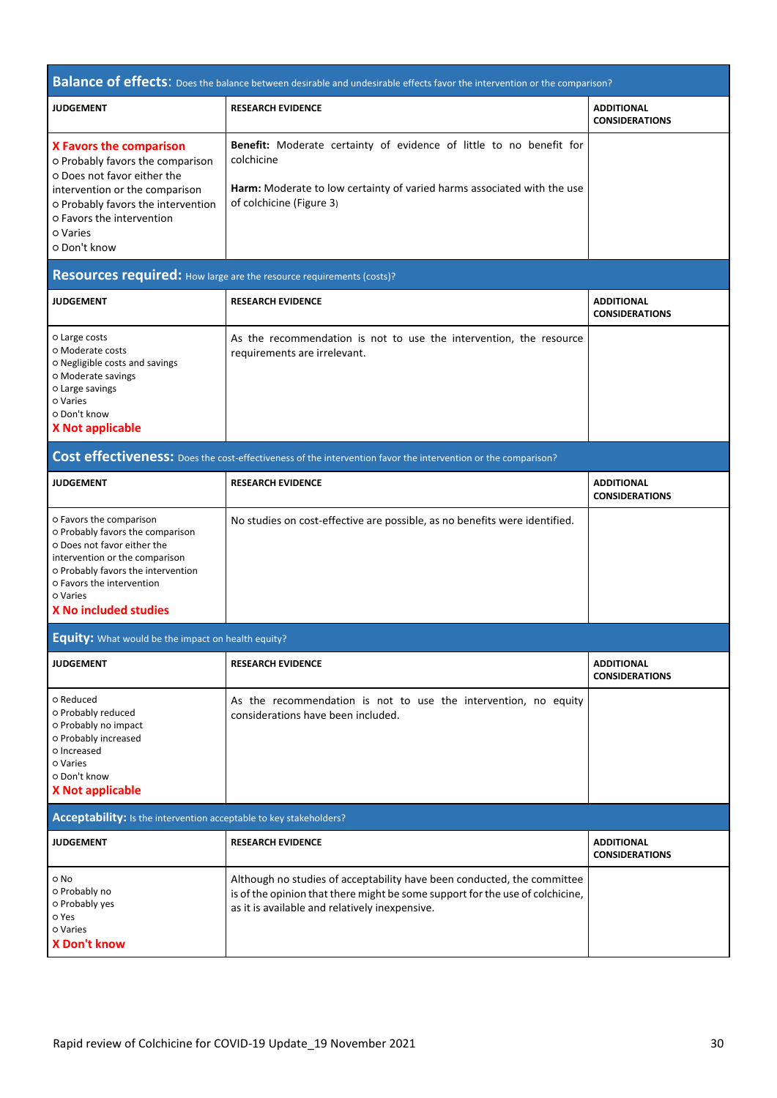|                                                                                                                                                                                                                                             | <b>Balance of effects:</b> Does the balance between desirable and undesirable effects favor the intervention or the comparison?                                                                            |                                            |
|---------------------------------------------------------------------------------------------------------------------------------------------------------------------------------------------------------------------------------------------|------------------------------------------------------------------------------------------------------------------------------------------------------------------------------------------------------------|--------------------------------------------|
| <b>JUDGEMENT</b>                                                                                                                                                                                                                            | <b>RESEARCH EVIDENCE</b>                                                                                                                                                                                   | <b>ADDITIONAL</b><br><b>CONSIDERATIONS</b> |
| <b>X Favors the comparison</b><br>o Probably favors the comparison<br>O Does not favor either the<br>intervention or the comparison<br>o Probably favors the intervention<br>O Favors the intervention<br>o Varies<br>o Don't know          | Benefit: Moderate certainty of evidence of little to no benefit for<br>colchicine<br>Harm: Moderate to low certainty of varied harms associated with the use<br>of colchicine (Figure 3)                   |                                            |
| Resources required: How large are the resource requirements (costs)?                                                                                                                                                                        |                                                                                                                                                                                                            |                                            |
| <b>JUDGEMENT</b>                                                                                                                                                                                                                            | <b>RESEARCH EVIDENCE</b>                                                                                                                                                                                   | <b>ADDITIONAL</b><br><b>CONSIDERATIONS</b> |
| o Large costs<br>o Moderate costs<br>o Negligible costs and savings<br>O Moderate savings<br>o Large savings<br>o Varies<br>o Don't know<br><b>X Not applicable</b>                                                                         | As the recommendation is not to use the intervention, the resource<br>requirements are irrelevant.                                                                                                         |                                            |
|                                                                                                                                                                                                                                             | Cost effectiveness: Does the cost-effectiveness of the intervention favor the intervention or the comparison?                                                                                              |                                            |
| <b>JUDGEMENT</b>                                                                                                                                                                                                                            | <b>RESEARCH EVIDENCE</b>                                                                                                                                                                                   | <b>ADDITIONAL</b><br><b>CONSIDERATIONS</b> |
| o Favors the comparison<br>o Probably favors the comparison<br>O Does not favor either the<br>intervention or the comparison<br>O Probably favors the intervention<br>O Favors the intervention<br>o Varies<br><b>X No included studies</b> | No studies on cost-effective are possible, as no benefits were identified.                                                                                                                                 |                                            |
| <b>Equity:</b> What would be the impact on health equity?                                                                                                                                                                                   |                                                                                                                                                                                                            |                                            |
| <b>JUDGEMENT</b>                                                                                                                                                                                                                            | <b>RESEARCH EVIDENCE</b>                                                                                                                                                                                   | <b>ADDITIONAL</b><br><b>CONSIDERATIONS</b> |
| o Reduced<br>o Probably reduced<br>O Probably no impact<br>O Probably increased<br>o Increased<br>o Varies<br>o Don't know<br><b>X Not applicable</b>                                                                                       | As the recommendation is not to use the intervention, no equity<br>considerations have been included.                                                                                                      |                                            |
| Acceptability: Is the intervention acceptable to key stakeholders?                                                                                                                                                                          |                                                                                                                                                                                                            |                                            |
| <b>JUDGEMENT</b>                                                                                                                                                                                                                            | <b>RESEARCH EVIDENCE</b>                                                                                                                                                                                   | <b>ADDITIONAL</b><br><b>CONSIDERATIONS</b> |
| o No<br>o Probably no<br>o Probably yes<br>o Yes<br>o Varies<br><b>X Don't know</b>                                                                                                                                                         | Although no studies of acceptability have been conducted, the committee<br>is of the opinion that there might be some support for the use of colchicine,<br>as it is available and relatively inexpensive. |                                            |